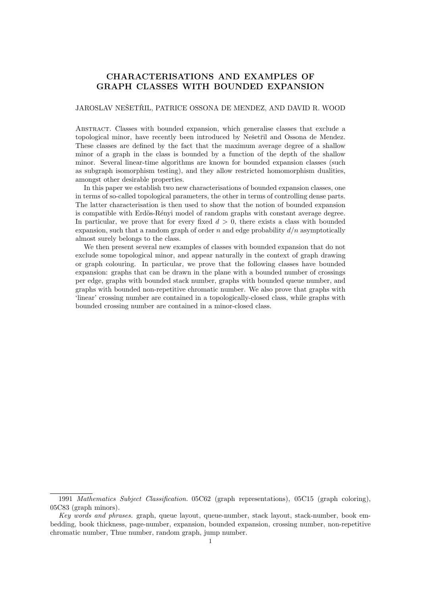# CHARACTERISATIONS AND EXAMPLES OF GRAPH CLASSES WITH BOUNDED EXPANSION

### JAROSLAV NEŠETŘIL, PATRICE OSSONA DE MENDEZ, AND DAVID R. WOOD

Abstract. Classes with bounded expansion, which generalise classes that exclude a topological minor, have recently been introduced by Nešetřil and Ossona de Mendez. These classes are defined by the fact that the maximum average degree of a shallow minor of a graph in the class is bounded by a function of the depth of the shallow minor. Several linear-time algorithms are known for bounded expansion classes (such as subgraph isomorphism testing), and they allow restricted homomorphism dualities, amongst other desirable properties.

In this paper we establish two new characterisations of bounded expansion classes, one in terms of so-called topological parameters, the other in terms of controlling dense parts. The latter characterisation is then used to show that the notion of bounded expansion is compatible with Erdös-Rényi model of random graphs with constant average degree. In particular, we prove that for every fixed  $d > 0$ , there exists a class with bounded expansion, such that a random graph of order n and edge probability  $d/n$  asymptotically almost surely belongs to the class.

We then present several new examples of classes with bounded expansion that do not exclude some topological minor, and appear naturally in the context of graph drawing or graph colouring. In particular, we prove that the following classes have bounded expansion: graphs that can be drawn in the plane with a bounded number of crossings per edge, graphs with bounded stack number, graphs with bounded queue number, and graphs with bounded non-repetitive chromatic number. We also prove that graphs with 'linear' crossing number are contained in a topologically-closed class, while graphs with bounded crossing number are contained in a minor-closed class.

<sup>1991</sup> Mathematics Subject Classification. 05C62 (graph representations), 05C15 (graph coloring), 05C83 (graph minors).

Key words and phrases. graph, queue layout, queue-number, stack layout, stack-number, book embedding, book thickness, page-number, expansion, bounded expansion, crossing number, non-repetitive chromatic number, Thue number, random graph, jump number.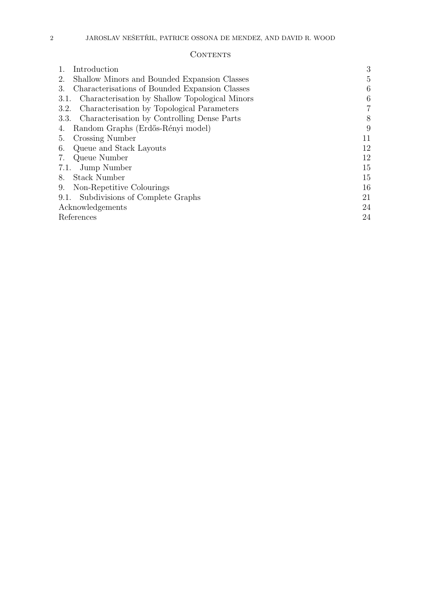# **CONTENTS**

| Introduction                                           | 3              |
|--------------------------------------------------------|----------------|
| Shallow Minors and Bounded Expansion Classes<br>2.     | 5              |
| Characterisations of Bounded Expansion Classes<br>3.   | 6              |
| Characterisation by Shallow Topological Minors<br>3.1. | 6              |
| Characterisation by Topological Parameters<br>3.2.     | $\overline{7}$ |
| Characterisation by Controlling Dense Parts<br>3.3.    | 8              |
| Random Graphs (Erdős-Rényi model)<br>4.                | 9              |
| Crossing Number<br>5.                                  | 11             |
| Queue and Stack Layouts<br>6.                          | 12             |
| Queue Number<br>7.                                     | 12             |
| Jump Number<br>7.1.                                    | 15             |
| <b>Stack Number</b><br>8.                              | 15             |
| Non-Repetitive Colourings<br>9.                        | 16             |
| Subdivisions of Complete Graphs<br>9.1.                | 21             |
| Acknowledgements                                       | 24             |
| References                                             | 24             |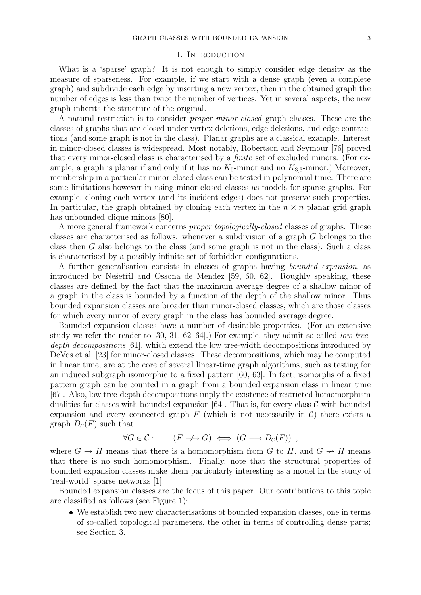### 1. INTRODUCTION

What is a 'sparse' graph? It is not enough to simply consider edge density as the measure of sparseness. For example, if we start with a dense graph (even a complete graph) and subdivide each edge by inserting a new vertex, then in the obtained graph the number of edges is less than twice the number of vertices. Yet in several aspects, the new graph inherits the structure of the original.

A natural restriction is to consider proper minor-closed graph classes. These are the classes of graphs that are closed under vertex deletions, edge deletions, and edge contractions (and some graph is not in the class). Planar graphs are a classical example. Interest in minor-closed classes is widespread. Most notably, Robertson and Seymour [76] proved that every minor-closed class is characterised by a finite set of excluded minors. (For example, a graph is planar if and only if it has no  $K_5$ -minor and no  $K_{3,3}$ -minor.) Moreover, membership in a particular minor-closed class can be tested in polynomial time. There are some limitations however in using minor-closed classes as models for sparse graphs. For example, cloning each vertex (and its incident edges) does not preserve such properties. In particular, the graph obtained by cloning each vertex in the  $n \times n$  planar grid graph has unbounded clique minors [80].

A more general framework concerns *proper topologically-closed* classes of graphs. These classes are characterised as follows: whenever a subdivision of a graph G belongs to the class then G also belongs to the class (and some graph is not in the class). Such a class is characterised by a possibly infinite set of forbidden configurations.

A further generalisation consists in classes of graphs having bounded expansion, as introduced by Nešetřil and Ossona de Mendez [59, 60, 62]. Roughly speaking, these classes are defined by the fact that the maximum average degree of a shallow minor of a graph in the class is bounded by a function of the depth of the shallow minor. Thus bounded expansion classes are broader than minor-closed classes, which are those classes for which every minor of every graph in the class has bounded average degree.

Bounded expansion classes have a number of desirable properties. (For an extensive study we refer the reader to [30, 31, 62–64].) For example, they admit so-called low treedepth decompositions [61], which extend the low tree-width decompositions introduced by DeVos et al. [23] for minor-closed classes. These decompositions, which may be computed in linear time, are at the core of several linear-time graph algorithms, such as testing for an induced subgraph isomorphic to a fixed pattern [60, 63]. In fact, isomorphs of a fixed pattern graph can be counted in a graph from a bounded expansion class in linear time [67]. Also, low tree-depth decompositions imply the existence of restricted homomorphism dualities for classes with bounded expansion  $[64]$ . That is, for every class C with bounded expansion and every connected graph  $F$  (which is not necessarily in  $\mathcal{C}$ ) there exists a graph  $D_{\mathcal{C}}(F)$  such that

$$
\forall G \in \mathcal{C} : \qquad (F \nrightarrow G) \iff (G \longrightarrow D_{\mathcal{C}}(F)) ,
$$

where  $G \to H$  means that there is a homomorphism from G to H, and  $G \to H$  means that there is no such homomorphism. Finally, note that the structural properties of bounded expansion classes make them particularly interesting as a model in the study of 'real-world' sparse networks [1].

Bounded expansion classes are the focus of this paper. Our contributions to this topic are classified as follows (see Figure 1):

• We establish two new characterisations of bounded expansion classes, one in terms of so-called topological parameters, the other in terms of controlling dense parts; see Section 3.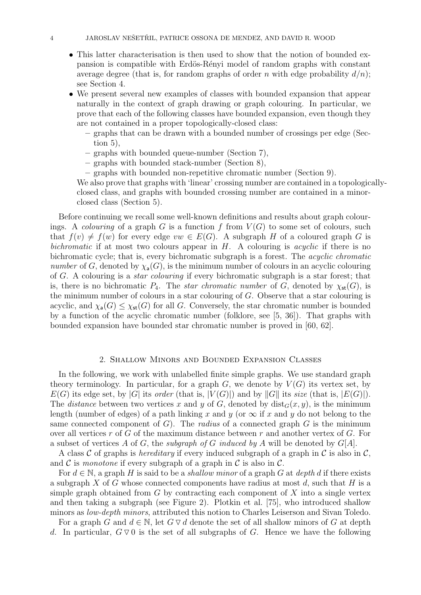### 4 JAROSLAV NEŠETŘIL, PATRICE OSSONA DE MENDEZ, AND DAVID R. WOOD

- This latter characterisation is then used to show that the notion of bounded expansion is compatible with Erdös-Rényi model of random graphs with constant average degree (that is, for random graphs of order n with edge probability  $d/n$ ); see Section 4.
- We present several new examples of classes with bounded expansion that appear naturally in the context of graph drawing or graph colouring. In particular, we prove that each of the following classes have bounded expansion, even though they are not contained in a proper topologically-closed class:
	- graphs that can be drawn with a bounded number of crossings per edge (Section 5),
	- graphs with bounded queue-number (Section 7),
	- graphs with bounded stack-number (Section 8),
	- graphs with bounded non-repetitive chromatic number (Section 9).

We also prove that graphs with 'linear' crossing number are contained in a topologicallyclosed class, and graphs with bounded crossing number are contained in a minorclosed class (Section 5).

Before continuing we recall some well-known definitions and results about graph colourings. A *colouring* of a graph G is a function f from  $V(G)$  to some set of colours, such that  $f(v) \neq f(w)$  for every edge  $vw \in E(G)$ . A subgraph H of a coloured graph G is bichromatic if at most two colours appear in  $H$ . A colouring is *acyclic* if there is no bichromatic cycle; that is, every bichromatic subgraph is a forest. The *acyclic chromatic* number of G, denoted by  $\chi_a(G)$ , is the minimum number of colours in an acyclic colouring of G. A colouring is a star colouring if every bichromatic subgraph is a star forest; that is, there is no bichromatic  $P_4$ . The *star chromatic number* of G, denoted by  $\chi_{st}(G)$ , is the minimum number of colours in a star colouring of  $G$ . Observe that a star colouring is acyclic, and  $\chi_{\rm a}(G) \leq \chi_{\rm st}(G)$  for all G. Conversely, the star chromatic number is bounded by a function of the acyclic chromatic number (folklore, see [5, 36]). That graphs with bounded expansion have bounded star chromatic number is proved in [60, 62].

## 2. Shallow Minors and Bounded Expansion Classes

In the following, we work with unlabelled finite simple graphs. We use standard graph theory terminology. In particular, for a graph  $G$ , we denote by  $V(G)$  its vertex set, by  $E(G)$  its edge set, by |G| its *order* (that is,  $|V(G)|$ ) and by  $||G||$  its *size* (that is,  $|E(G)|$ ). The *distance* between two vertices x and y of G, denoted by  $dist_G(x, y)$ , is the minimum length (number of edges) of a path linking x and y (or  $\infty$  if x and y do not belong to the same connected component of  $G$ ). The *radius* of a connected graph  $G$  is the minimum over all vertices r of G of the maximum distance between r and another vertex of G. For a subset of vertices A of G, the *subgraph* of G induced by A will be denoted by  $G[A]$ .

A class C of graphs is *hereditary* if every induced subgraph of a graph in C is also in  $C$ , and C is monotone if every subgraph of a graph in C is also in C.

For  $d \in \mathbb{N}$ , a graph H is said to be a *shallow minor* of a graph G at depth d if there exists a subgraph X of G whose connected components have radius at most  $d$ , such that H is a simple graph obtained from  $G$  by contracting each component of  $X$  into a single vertex and then taking a subgraph (see Figure 2). Plotkin et al. [75], who introduced shallow minors as low-depth minors, attributed this notion to Charles Leiserson and Sivan Toledo.

For a graph G and  $d \in \mathbb{N}$ , let  $G \triangledown d$  denote the set of all shallow minors of G at depth d. In particular,  $G \nabla 0$  is the set of all subgraphs of G. Hence we have the following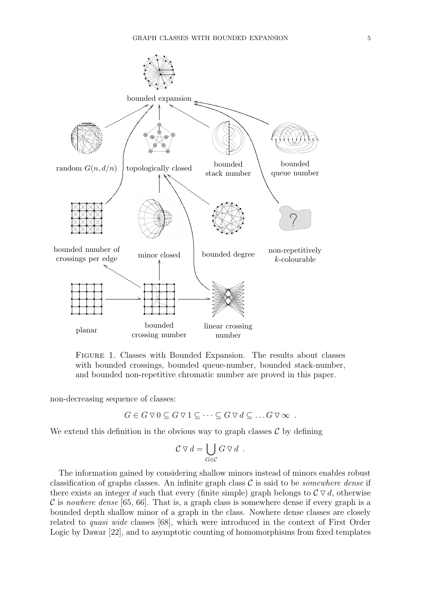

Figure 1. Classes with Bounded Expansion. The results about classes with bounded crossings, bounded queue-number, bounded stack-number, and bounded non-repetitive chromatic number are proved in this paper.

non-decreasing sequence of classes:

 $G \in G \vee 0 \subseteq G \vee 1 \subseteq \cdots \subseteq G \vee d \subseteq \ldots G \vee \infty$ .

We extend this definition in the obvious way to graph classes  $\mathcal C$  by defining

$$
\mathcal{C} \nabla d = \bigcup_{G \in \mathcal{C}} G \nabla d \ .
$$

The information gained by considering shallow minors instead of minors enables robust classification of graphs classes. An infinite graph class  $\mathcal C$  is said to be *somewhere dense* if there exists an integer d such that every (finite simple) graph belongs to  $C \nabla d$ , otherwise C is nowhere dense [65, 66]. That is, a graph class is somewhere dense if every graph is a bounded depth shallow minor of a graph in the class. Nowhere dense classes are closely related to quasi wide classes [68], which were introduced in the context of First Order Logic by Dawar [22], and to asymptotic counting of homomorphisms from fixed templates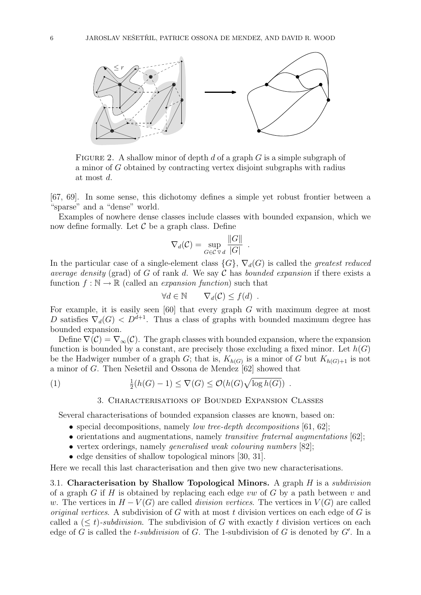

FIGURE 2. A shallow minor of depth d of a graph  $G$  is a simple subgraph of a minor of G obtained by contracting vertex disjoint subgraphs with radius at most d.

[67, 69]. In some sense, this dichotomy defines a simple yet robust frontier between a "sparse" and a "dense" world.

Examples of nowhere dense classes include classes with bounded expansion, which we now define formally. Let  $\mathcal C$  be a graph class. Define

$$
\nabla_d(\mathcal{C}) = \sup_{G \in \mathcal{C}} \frac{\|G\|}{|G|} .
$$

In the particular case of a single-element class  $\{G\}$ ,  $\nabla_d(G)$  is called the *greatest reduced* average density (grad) of G of rank d. We say C has bounded expansion if there exists a function  $f : \mathbb{N} \to \mathbb{R}$  (called an *expansion function*) such that

$$
\forall d \in \mathbb{N} \qquad \nabla_d(\mathcal{C}) \leq f(d) \enspace .
$$

For example, it is easily seen [60] that every graph G with maximum degree at most D satisfies  $\nabla_d(G) < D^{d+1}$ . Thus a class of graphs with bounded maximum degree has bounded expansion.

Define  $\nabla(\mathcal{C}) = \nabla_{\infty}(\mathcal{C})$ . The graph classes with bounded expansion, where the expansion function is bounded by a constant, are precisely those excluding a fixed minor. Let  $h(G)$ be the Hadwiger number of a graph G; that is,  $K_{h(G)}$  is a minor of G but  $K_{h(G)+1}$  is not a minor of  $G$ . Then Nešetřil and Ossona de Mendez  $[62]$  showed that

(1) 
$$
\frac{1}{2}(h(G)-1) \leq \nabla(G) \leq \mathcal{O}(h(G)\sqrt{\log h(G)}) .
$$

3. Characterisations of Bounded Expansion Classes

Several characterisations of bounded expansion classes are known, based on:

- special decompositions, namely *low tree-depth decompositions* [61, 62];
- orientations and augmentations, namely transitive fraternal augmentations  $[62]$ ;
- vertex orderings, namely *generalised weak colouring numbers* [82];
- edge densities of shallow topological minors [30, 31].

Here we recall this last characterisation and then give two new characterisations.

3.1. Characterisation by Shallow Topological Minors. A graph H is a subdivision of a graph G if H is obtained by replacing each edge vw of G by a path between v and w. The vertices in  $H - V(G)$  are called *division vertices*. The vertices in  $V(G)$  are called *original vertices.* A subdivision of G with at most t division vertices on each edge of G is called a  $(< t)$ -subdivision. The subdivision of G with exactly t division vertices on each edge of G is called the *t*-subdivision of G. The 1-subdivision of G is denoted by  $G'$ . In a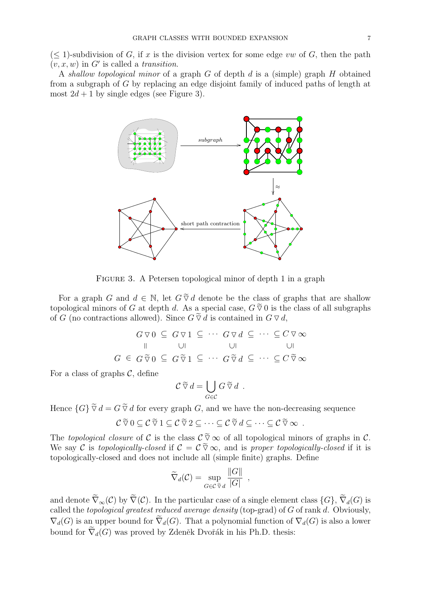$(< 1$ )-subdivision of G, if x is the division vertex for some edge vw of G, then the path  $(v, x, w)$  in G' is called a transition.

A shallow topological minor of a graph G of depth d is a (simple) graph H obtained from a subgraph of G by replacing an edge disjoint family of induced paths of length at most  $2d + 1$  by single edges (see Figure 3).



FIGURE 3. A Petersen topological minor of depth 1 in a graph

For a graph G and  $d \in \mathbb{N}$ , let  $G \tilde{\nabla} d$  denote be the class of graphs that are shallow topological minors of G at depth d. As a special case,  $G \tilde{\nabla} 0$  is the class of all subgraphs of G (no contractions allowed). Since  $G \tilde{\nabla} d$  is contained in  $G \nabla d$ ,

$$
G \triangledown 0 \subseteq G \triangledown 1 \subseteq \cdots G \triangledown d \subseteq \cdots \subseteq C \triangledown \infty
$$
  
\n
$$
\begin{array}{ccc}\n\sqcup & \sqcup & \sqcup \\
\sqcup & \sqcup & \sqcup \\
\vdots & \vdots & \vdots \\
\vdots & \vdots & \vdots \\
\vdots & \vdots & \vdots \\
\vdots & \vdots & \vdots \\
\vdots & \vdots & \vdots \\
\vdots & \vdots & \vdots \\
\vdots & \vdots & \vdots \\
\vdots & \vdots & \vdots \\
\vdots & \vdots & \vdots \\
\vdots & \vdots & \vdots & \vdots \\
\vdots & \vdots & \vdots & \vdots \\
\vdots & \vdots & \vdots & \vdots \\
\vdots & \vdots & \vdots & \vdots \\
\vdots & \vdots & \vdots & \vdots \\
\vdots & \vdots & \vdots & \vdots \\
\vdots & \vdots & \vdots & \vdots \\
\vdots & \vdots & \vdots & \vdots \\
\vdots & \vdots & \vdots & \vdots \\
\vdots & \vdots & \vdots & \vdots \\
\vdots & \vdots & \vdots & \vdots \\
\vdots & \vdots & \vdots & \vdots \\
\vdots & \vdots & \vdots & \vdots \\
\vdots & \vdots & \vdots & \vdots \\
\vdots & \vdots & \vdots & \vdots \\
\vdots & \vdots & \vdots & \vdots \\
\vdots & \vdots & \vdots & \vdots \\
\vdots & \vdots & \vdots & \vdots \\
\vdots & \vdots & \vdots & \vdots \\
\vdots & \vdots & \vdots & \vdots \\
\vdots & \vdots & \vdots & \vdots \\
\vdots & \vdots & \vdots & \vdots \\
\vdots & \vdots & \vdots & \vdots \\
\vdots & \vdots & \vdots & \vdots \\
\vdots & \vdots & \vdots & \vdots \\
\vdots & \vdots & \vdots & \vdots \\
\vdots & \vdots & \vdots & \vdots \\
\vdots & \vdots & \vdots & \vdots \\
\vdots & \vdots & \vdots & \vdots \\
\vdots & \vdots & \vdots & \vdots \\
\vdots & \vdots & \vdots & \vdots \\
\vdots & \vdots & \vdots & \vdots \\
\vdots & \vdots & \vdots & \vdots \\
\vdots & \vdots & \vdots & \vdots \\
\vdots & \vdots & \vdots & \vdots \\
\vdots & \vd
$$

For a class of graphs  $\mathcal{C}$ , define

$$
\mathcal{C}\ \widetilde{\nabla}\ d = \bigcup_{G \in \mathcal{C}} G\ \widetilde{\nabla}\ d \ .
$$

Hence  $\{G\} \tilde{\nabla} d = G \tilde{\nabla} d$  for every graph G, and we have the non-decreasing sequence

$$
\mathcal{C}\ \widetilde{\triangledown}\ 0\subseteq\mathcal{C}\ \widetilde{\triangledown}\ 1\subseteq\mathcal{C}\ \widetilde{\triangledown}\ 2\subseteq\cdots\subseteq\mathcal{C}\ \widetilde{\triangledown}\ d\subseteq\cdots\subseteq\mathcal{C}\ \widetilde{\triangledown}\ \infty\ .
$$

The topological closure of C is the class  $\mathcal{C} \tilde{\nabla} \infty$  of all topological minors of graphs in C. We say C is topologically-closed if  $C = C \tilde{\nabla} \infty$ , and is proper topologically-closed if it is topologically-closed and does not include all (simple finite) graphs. Define

$$
\widetilde{\nabla}_d(\mathcal{C}) = \sup_{G \in \mathcal{C} \widetilde{\nabla} d} \frac{\|G\|}{|G|} ,
$$

and denote  $\tilde{\nabla}_{\infty}(\mathcal{C})$  by  $\tilde{\nabla}(\mathcal{C})$ . In the particular case of a single element class  $\{G\}, \tilde{\nabla}_d(G)$  is called the topological greatest reduced average density (top-grad) of  $G$  of rank  $d$ . Obviously,  $\nabla_d(G)$  is an upper bound for  $\nabla_d(G)$ . That a polynomial function of  $\nabla_d(G)$  is also a lower bound for  $\widetilde{\nabla}_d(G)$  was proved by Zdeněk Dvořák in his Ph.D. thesis: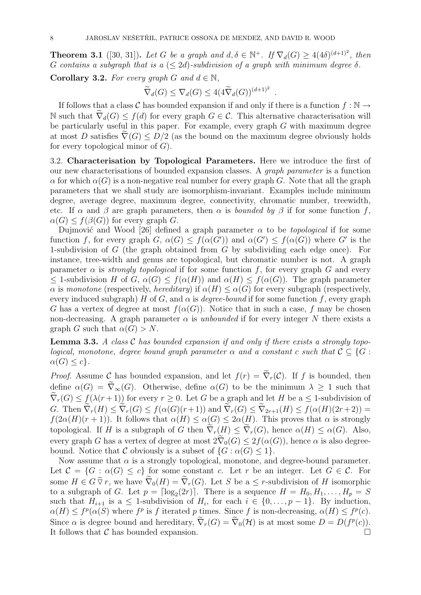**Theorem 3.1** ([30, 31]). Let G be a graph and  $d, \delta \in \mathbb{N}^+$ . If  $\nabla_d(G) \geq 4(4\delta)^{(d+1)^2}$ , then G contains a subgraph that is a  $(\leq 2d)$ -subdivision of a graph with minimum degree  $\delta$ .

**Corollary 3.2.** For every graph G and  $d \in \mathbb{N}$ ,

$$
\widetilde{\nabla}_d(G) \leq \nabla_d(G) \leq 4(4\widetilde{\nabla}_d(G))^{(d+1)^2}
$$

.

If follows that a class C has bounded expansion if and only if there is a function  $f : \mathbb{N} \to$ N such that  $\tilde{\nabla}_d(G) \leq f(d)$  for every graph  $G \in \mathcal{C}$ . This alternative characterisation will be particularly useful in this paper. For example, every graph  $G$  with maximum degree at most D satisfies  $\nabla$ (G) < D/2 (as the bound on the maximum degree obviously holds for every topological minor of  $G$ ).

3.2. Characterisation by Topological Parameters. Here we introduce the first of our new characterisations of bounded expansion classes. A graph parameter is a function  $\alpha$  for which  $\alpha(G)$  is a non-negative real number for every graph G. Note that all the graph parameters that we shall study are isomorphism-invariant. Examples include minimum degree, average degree, maximum degree, connectivity, chromatic number, treewidth, etc. If  $\alpha$  and  $\beta$  are graph parameters, then  $\alpha$  is *bounded by*  $\beta$  if for some function f,  $\alpha(G) \leq f(\beta(G))$  for every graph G.

Dujmović and Wood [26] defined a graph parameter  $\alpha$  to be *topological* if for some function f, for every graph  $G$ ,  $\alpha(G) \leq f(\alpha(G'))$  and  $\alpha(G') \leq f(\alpha(G))$  where  $G'$  is the 1-subdivision of G (the graph obtained from G by subdividing each edge once). For instance, tree-width and genus are topological, but chromatic number is not. A graph parameter  $\alpha$  is *strongly topological* if for some function f, for every graph G and every  $\leq$  1-subdivision H of G,  $\alpha(G) \leq f(\alpha(H))$  and  $\alpha(H) \leq f(\alpha(G))$ . The graph parameter  $\alpha$  is monotone (respectively, *hereditary*) if  $\alpha(H) \leq \alpha(G)$  for every subgraph (respectively, every induced subgraph) H of G, and  $\alpha$  is *degree-bound* if for some function f, every graph G has a vertex of degree at most  $f(\alpha(G))$ . Notice that in such a case, f may be chosen non-decreasing. A graph parameter  $\alpha$  is unbounded if for every integer N there exists a graph G such that  $\alpha(G) > N$ .

**Lemma 3.3.** A class  $\mathcal{C}$  has bounded expansion if and only if there exists a strongly topological, monotone, degree bound graph parameter  $\alpha$  and a constant c such that  $\mathcal{C} \subseteq \{G :$  $\alpha(G) \leq c$ .

*Proof.* Assume C has bounded expansion, and let  $f(r) = \tilde{\nabla}_r(C)$ . If f is bounded, then define  $\alpha(G) = \tilde{\nabla}_{\infty}(G)$ . Otherwise, define  $\alpha(G)$  to be the minimum  $\lambda \geq 1$  such that  $\widetilde{\nabla}_r(G) \leq f(\lambda(r+1))$  for every  $r \geq 0$ . Let G be a graph and let H be a  $\leq$  1-subdivision of G. Then  $\widetilde{\nabla}_r(H) \leq \widetilde{\nabla}_r(G) \leq f(\alpha(G)(r+1))$  and  $\widetilde{\nabla}_r(G) \leq \widetilde{\nabla}_{2r+1}(H) \leq f(\alpha(H)(2r+2))$  $f(2\alpha(H)(r+1))$ . It follows that  $\alpha(H) \leq \alpha(G) \leq 2\alpha(H)$ . This proves that  $\alpha$  is strongly topological. If H is a subgraph of G then  $\nabla_r(H) \leq \nabla_r(G)$ , hence  $\alpha(H) \leq \alpha(G)$ . Also, every graph G has a vertex of degree at most  $2\nabla_0(G) \leq 2f(\alpha(G))$ , hence  $\alpha$  is also degreebound. Notice that C obviously is a subset of  $\{G : \alpha(G) \leq 1\}.$ 

Now assume that  $\alpha$  is a strongly topological, monotone, and degree-bound parameter. Let  $C = \{G : \alpha(G) \leq c\}$  for some constant c. Let r be an integer. Let  $G \in \mathcal{C}$ . For some  $H \in G \tilde{\nabla} r$ , we have  $\tilde{\nabla}_0(H) = \tilde{\nabla}_r(G)$ . Let S be a  $\leq r$ -subdivision of H isomorphic to a subgraph of G. Let  $p = \lceil \log_2(2r) \rceil$ . There is a sequence  $H = H_0, H_1, \ldots, H_p = S$ such that  $H_{i+1}$  is a  $\leq$  1-subdivision of  $H_i$ , for each  $i \in \{0, \ldots, p-1\}$ . By induction,  $\alpha(H) \leq f^p(\alpha(S)$  where  $f^p$  is f iterated p times. Since f is non-decreasing,  $\alpha(H) \leq f^p(c)$ . Since  $\alpha$  is degree bound and hereditary,  $\tilde{\nabla}_r(G) = \tilde{\nabla}_0(\mathcal{H})$  is at most some  $D = D(f^p(c))$ . It follows that  $\mathcal C$  has bounded expansion.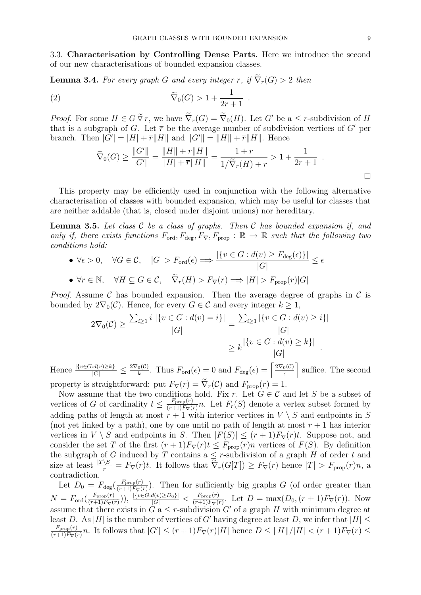3.3. Characterisation by Controlling Dense Parts. Here we introduce the second of our new characterisations of bounded expansion classes.

**Lemma 3.4.** For every graph G and every integer r, if  $\tilde{\nabla}_r(G) > 2$  then

(2) 
$$
\widetilde{\nabla}_0(G) > 1 + \frac{1}{2r+1} .
$$

*Proof.* For some  $H \in G \widetilde{\nabla} r$ , we have  $\widetilde{\nabla}_r(G) = \widetilde{\nabla}_0(H)$ . Let G' be a  $\leq r$ -subdivision of H that is a subgraph of G. Let  $\bar{r}$  be the average number of subdivision vertices of G' per branch. Then  $|G'| = |H| + \overline{r} ||H||$  and  $||G'|| = ||H|| + \overline{r} ||H||$ . Hence

$$
\widetilde{\nabla}_0(G) \ge \frac{\|G'\|}{|G'|} = \frac{\|H\| + \overline{r}\|H\|}{|H| + \overline{r}\|H\|} = \frac{1 + \overline{r}}{1/\widetilde{\nabla}_r(H) + \overline{r}} > 1 + \frac{1}{2r + 1} .
$$

This property may be efficiently used in conjunction with the following alternative characterisation of classes with bounded expansion, which may be useful for classes that are neither addable (that is, closed under disjoint unions) nor hereditary.

**Lemma 3.5.** Let class  $C$  be a class of graphs. Then  $C$  has bounded expansion if, and only if, there exists functions  $F_{\text{ord}}, F_{\text{deg}}, F_{\nabla}, F_{\text{prop}} : \mathbb{R} \to \mathbb{R}$  such that the following two conditions hold:

\n- \n
$$
\forall \epsilon > 0, \quad \forall G \in \mathcal{C}, \quad |G| > F_{\text{ord}}(\epsilon) \Longrightarrow \frac{|\{v \in G : d(v) \ge F_{\text{deg}}(\epsilon)\}|}{|G|} \le \epsilon
$$
\n
\n- \n
$$
\forall r \in \mathbb{N}, \quad \forall H \subseteq G \in \mathcal{C}, \quad \widetilde{\nabla}_r(H) > F_{\nabla}(r) \Longrightarrow |H| > F_{\text{prop}}(r)|G|
$$
\n
\n

*Proof.* Assume C has bounded expansion. Then the average degree of graphs in C is bounded by  $2\nabla_0(\mathcal{C})$ . Hence, for every  $G \in \mathcal{C}$  and every integer  $k \geq 1$ ,

$$
2\nabla_0(\mathcal{C}) \ge \frac{\sum_{i\ge 1} i \, |\{v \in G : d(v) = i\}|}{|G|} = \frac{\sum_{i\ge 1} |\{v \in G : d(v) \ge i\}|}{|G|}
$$

$$
\ge k \frac{|\{v \in G : d(v) \ge k\}|}{|G|}.
$$

Hence  $\frac{|\{v \in G : d(v) \geq k\}|}{|G|} \leq \frac{2\nabla_0(\mathcal{C})}{k}$  $\frac{F_0(\mathcal{C})}{k}$ . Thus  $F_{\text{ord}}(\epsilon) = 0$  and  $F_{\text{deg}}(\epsilon) = \left[\frac{2\nabla_0(\mathcal{C})}{\epsilon}\right]$  $\epsilon$ m suffice. The second property is straightforward: put  $F_{\nabla}(r) = \tilde{\nabla}_r(\mathcal{C})$  and  $F_{\text{prop}}(r) = 1$ .

Now assume that the two conditions hold. Fix r. Let  $G \in \mathcal{C}$  and let S be a subset of vertices of G of cardinality  $t \leq \frac{F_{\text{prop}}(r)}{(r+1)F_{\nabla}(r)}$  $\frac{F_{\text{prop}}(r)}{(r+1)F_{\nabla}(r)}n$ . Let  $F_r(S)$  denote a vertex subset formed by adding paths of length at most  $r + 1$  with interior vertices in  $V \setminus S$  and endpoints in S (not yet linked by a path), one by one until no path of length at most  $r + 1$  has interior vertices in  $V \setminus S$  and endpoints in S. Then  $|F(S)| \leq (r+1)F_{\nabla}(r)t$ . Suppose not, and consider the set T of the first  $(r + 1)F_{\nabla}(r)t \leq F_{\text{prop}}(r)n$  vertices of  $F(S)$ . By definition the subgraph of G induced by T contains a  $\leq r$ -subdivision of a graph H of order t and size at least  $\frac{|T\setminus S|}{r} = F_{\nabla}(r)t$ . It follows that  $\tilde{\nabla}_r(G[T]) \geq F_{\nabla}(r)$  hence  $|T| > F_{\text{prop}}(r)n$ , a contradiction.

Let  $D_0 = F_{\text{deg}}(\frac{F_{\text{prop}}(r)}{(r+1)F_{\nabla}(r)}$  $\frac{F_{\text{prop}}(r)}{(r+1)F_{\nabla}(r)}$ ). Then for sufficiently big graphs G (of order greater than  $N = F_{\text{ord}}(\frac{F_{\text{prop}}(r)}{(r+1)F_{\nabla}(r)}$  $\frac{\left|F_{\text{prop}}(r)}{(r+1)F_{\nabla}(r)}\right), \; \frac{\left|\{v \in G:d(v) \geq D_0\}\right|}{|G|} < \frac{F_{\text{prop}}(r)}{(r+1)F_{\nabla}(r)}$  $\frac{F_{\text{prop}}(r)}{(r+1)F_{\nabla}(r)}$ . Let  $D = \max(D_0, (r+1)F_{\nabla}(r))$ . Now assume that there exists in  $G$  a  $\leq r$ -subdivision  $G'$  of a graph H with minimum degree at least D. As |H| is the number of vertices of G' having degree at least D, we infer that  $|H| \le$  $F_{\rm prop}(r)$  $\frac{F_{\text{prop}}(r)}{(r+1)F_{\nabla}(r)}n$ . It follows that  $|G'|\leq (r+1)F_{\nabla}(r)|H|$  hence  $D\leq ||H||/|H|<(r+1)F_{\nabla}(r)\leq$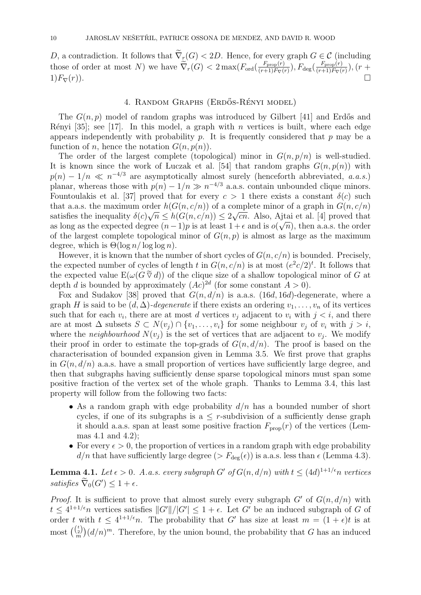D, a contradiction. It follows that  $\nabla_r(G) < 2D$ . Hence, for every graph  $G \in \mathcal{C}$  (including those of order at most N) we have  $\widetilde{\nabla}_r(G) < 2 \max(F_{\text{ord}}(\frac{F_{\text{prop}}(r)}{(r+1)F_{\nabla}(r)})$  $\frac{F_{\text{prop}}(r)}{(r+1)F_{\nabla}(r)}$ ),  $F_{\text{deg}}(\frac{F_{\text{prop}}(r)}{(r+1)F_{\nabla}(r)}$  $\frac{F_{\text{prop}}(r)}{(r+1)F_{\nabla}(r)}$ ),  $(r+$  $1)F_{\nabla}(r)$ ).

### 4. RANDOM GRAPHS (ERDŐS-RÉNYI MODEL)

The  $G(n, p)$  model of random graphs was introduced by Gilbert [41] and Erdős and Rényi [35]; see [17]. In this model, a graph with n vertices is built, where each edge appears independently with probability  $p$ . It is frequently considered that  $p$  may be a function of n, hence the notation  $G(n, p(n))$ .

The order of the largest complete (topological) minor in  $G(n, p/n)$  is well-studied. It is known since the work of Luczak et al. [54] that random graphs  $G(n, p(n))$  with  $p(n) - 1/n \ll n^{-4/3}$  are asymptotically almost surely (henceforth abbreviated, a.a.s.) planar, whereas those with  $p(n) - 1/n \gg n^{-4/3}$  a.a.s. contain unbounded clique minors. Fountoulakis et al. [37] proved that for every  $c > 1$  there exists a constant  $\delta(c)$  such that a.a.s. the maximum order  $h(G(n, c/n))$  of a complete minor of a graph in  $G(n, c/n)$ satisfies the inequality  $\delta(c)\sqrt{n} \le h(G(n, c/n)) \le 2\sqrt{cn}$ . Also, Ajtai et al. [4] proved that as long as the expected degree  $(n-1)p$  is at least  $1+\epsilon$  and is  $o(\sqrt{n})$ , then a.a.s. the order of the largest complete topological minor of  $G(n, p)$  is almost as large as the maximum degree, which is  $\Theta(\log n / \log \log n)$ .

However, it is known that the number of short cycles of  $G(n, c/n)$  is bounded. Precisely, the expected number of cycles of length t in  $G(n, c/n)$  is at most  $(e^2c/2)^t$ . It follows that the expected value  $E(\omega(G \tilde{\nabla} d))$  of the clique size of a shallow topological minor of G at depth d is bounded by approximately  $(Ac)^{2d}$  (for some constant  $A > 0$ ).

Fox and Sudakov [38] proved that  $G(n, d/n)$  is a.a.s. (16d, 16d)-degenerate, where a graph H is said to be  $(d, \Delta)$ -degenerate if there exists an ordering  $v_1, \ldots, v_n$  of its vertices such that for each  $v_i$ , there are at most d vertices  $v_j$  adjacent to  $v_i$  with  $j < i$ , and there are at most  $\Delta$  subsets  $S \subset N(v_j) \cap \{v_1, \ldots, v_i\}$  for some neighbour  $v_j$  of  $v_i$  with  $j > i$ , where the *neighbourhood*  $N(v_j)$  is the set of vertices that are adjacent to  $v_j$ . We modify their proof in order to estimate the top-grads of  $G(n, d/n)$ . The proof is based on the characterisation of bounded expansion given in Lemma 3.5. We first prove that graphs in  $G(n, d/n)$  a.a.s. have a small proportion of vertices have sufficiently large degree, and then that subgraphs having sufficiently dense sparse topological minors must span some positive fraction of the vertex set of the whole graph. Thanks to Lemma 3.4, this last property will follow from the following two facts:

- As a random graph with edge probability  $d/n$  has a bounded number of short cycles, if one of its subgraphs is a  $\leq r$ -subdivision of a sufficiently dense graph it should a.a.s. span at least some positive fraction  $F_{\text{prop}}(r)$  of the vertices (Lemmas 4.1 and 4.2);
- For every  $\epsilon > 0$ , the proportion of vertices in a random graph with edge probability  $d/n$  that have sufficiently large degree (>  $F_{\text{dec}}(\epsilon)$ ) is a.a.s. less than  $\epsilon$  (Lemma 4.3).

**Lemma 4.1.** Let  $\epsilon > 0$ . A.a.s. every subgraph G' of  $G(n, d/n)$  with  $t \leq (4d)^{1+1/\epsilon}n$  vertices satisfies  $\widetilde{\nabla}_0(G') \leq 1 + \epsilon$ .

*Proof.* It is sufficient to prove that almost surely every subgraph  $G'$  of  $G(n, d/n)$  with  $t \leq 4^{1+1/\epsilon}n$  vertices satisfies  $||G'||/|G'|| \leq 1+\epsilon$ . Let G' be an induced subgraph of G of order t with  $t \leq 4^{1+1/\epsilon}n$ . The probability that G' has size at least  $m = (1+\epsilon)t$  is at most  $\binom{\binom{t}{2}}{m}(d/n)^m$ . Therefore, by the union bound, the probability that G has an induced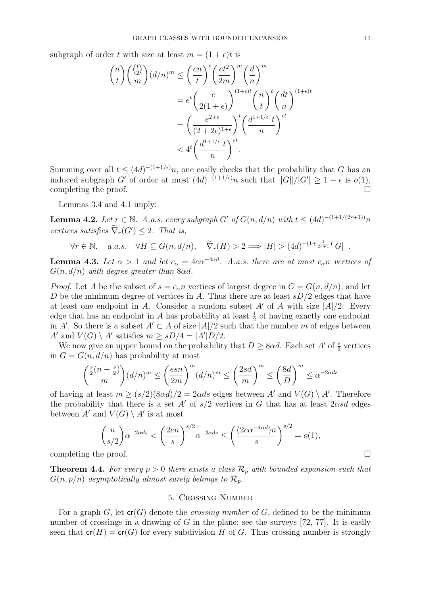subgraph of order t with size at least  $m = (1 + \epsilon)t$  is

$$
\binom{n}{t}\binom{\binom{t}{2}}{m} (d/n)^m \le \left(\frac{en}{t}\right)^t \left(\frac{et^2}{2m}\right)^m \left(\frac{d}{n}\right)^m
$$

$$
= e^t \left(\frac{e}{2(1+\epsilon)}\right)^{(1+\epsilon)t} \left(\frac{n}{t}\right)^t \left(\frac{dt}{n}\right)^{(1+\epsilon)t}
$$

$$
= \left(\frac{e^{2+\epsilon}}{(2+2\epsilon)^{1+\epsilon}}\right)^t \left(\frac{d^{1+1/\epsilon}}{n}\right)^{\epsilon t}
$$

$$
< 4^t \left(\frac{d^{1+1/\epsilon}}{n}\right)^{\epsilon t}.
$$

Summing over all  $t \leq (4d)^{-(1+1/\epsilon)}n$ , one easily checks that the probability that G has an induced subgraph G' of order at most  $(4d)^{-(1+1/\epsilon)}n$  such that  $||G||/|G'|\geq 1+\epsilon$  is  $o(1)$ , completing the proof.  $\Box$ 

Lemmas 3.4 and 4.1 imply:

**Lemma 4.2.** Let  $r \in \mathbb{N}$ . A.a.s. every subgraph G' of  $G(n, d/n)$  with  $t \leq (4d)^{-(1+1/(2r+1))}n$ vertices satisfies  $\widetilde{\nabla}_r(G') \leq 2$ . That is,

$$
\forall r \in \mathbb{N}, \quad a.a.s. \quad \forall H \subseteq G(n, d/n), \quad \widetilde{\nabla}_r(H) > 2 \Longrightarrow |H| > (4d)^{-(1+\frac{1}{2r+1})}|G| \enspace .
$$

**Lemma 4.3.** Let  $\alpha > 1$  and let  $c_{\alpha} = 4e\alpha^{-4\alpha d}$ . A.a.s. there are at most  $c_{\alpha}n$  vertices of  $G(n, d/n)$  with degree greater than 8 $\alpha d$ .

*Proof.* Let A be the subset of  $s = c_0 n$  vertices of largest degree in  $G = G(n, d/n)$ , and let D be the minimum degree of vertices in A. Thus there are at least  $sD/2$  edges that have at least one endpoint in A. Consider a random subset  $A'$  of A with size  $|A|/2$ . Every edge that has an endpoint in A has probability at least  $\frac{1}{2}$  of having exactly one endpoint in A'. So there is a subset  $A' \subset A$  of size  $|A|/2$  such that the number m of edges between A' and  $V(G) \setminus A'$  satisfies  $m \ge sD/4 = |A'|D/2$ .

We now give an upper bound on the probability that  $D \geq 8\alpha d$ . Each set A' of  $\frac{s}{2}$  vertices in  $G = G(n, d/n)$  has probability at most

$$
\binom{\frac{s}{2}(n-\frac{s}{2})}{m}(d/n)^m \le \left(\frac{esn}{2m}\right)^m (d/n)^m \le \left(\frac{2sd}{m}\right)^m \le \left(\frac{8d}{D}\right)^m \le \alpha^{-2\alpha ds}
$$

of having at least  $m \ge (s/2)(8\alpha d)/2 = 2\alpha ds$  edges between A' and  $V(G) \setminus A'$ . Therefore the probability that there is a set A' of  $s/2$  vertices in G that has at least  $2\alpha sd$  edges between  $A'$  and  $V(G) \setminus A'$  is at most

$$
\binom{n}{s/2} \alpha^{-2\alpha ds} < \left(\frac{2en}{s}\right)^{s/2} \alpha^{-2\alpha ds} \le \left(\frac{(2e\alpha^{-4\alpha d})n}{s}\right)^{s/2} = o(1),
$$
\ne proof.

completing the p

**Theorem 4.4.** For every  $p > 0$  there exists a class  $\mathcal{R}_p$  with bounded expansion such that  $G(n, p/n)$  asymptotically almost surely belongs to  $\mathcal{R}_p$ .

### 5. Crossing Number

For a graph G, let  $\textsf{cr}(G)$  denote the *crossing number* of G, defined to be the minimum number of crossings in a drawing of G in the plane; see the surveys  $[72, 77]$ . It is easily seen that  $cr(H) = cr(G)$  for every subdivision H of G. Thus crossing number is strongly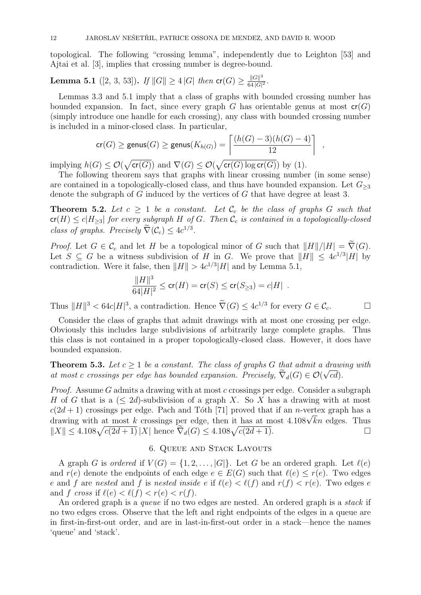topological. The following "crossing lemma", independently due to Leighton [53] and Ajtai et al. [3], implies that crossing number is degree-bound.

**Lemma 5.1** ([2, 3, 53]). If  $||G|| \geq 4 |G|$  then  $\mathsf{cr}(G) \geq \frac{||G||^3}{64|G|}$  $\frac{\|G\|^{\circ}}{64 |G|^2}$ .

Lemmas 3.3 and 5.1 imply that a class of graphs with bounded crossing number has bounded expansion. In fact, since every graph G has orientable genus at most  $cr(G)$ (simply introduce one handle for each crossing), any class with bounded crossing number is included in a minor-closed class. In particular,

$$
\operatorname{cr}(G) \ge \operatorname{genus}(G) \ge \operatorname{genus}(K_{h(G)}) = \left\lceil \frac{(h(G) - 3)(h(G) - 4)}{12} \right\rceil
$$

,

implying  $h(G) \leq \mathcal{O}(\sqrt{\text{cr}(G)})$  and  $\nabla(G) \leq \mathcal{O}(\sqrt{\text{cr}(G) \log \text{cr}(G)})$  by (1).

The following theorem says that graphs with linear crossing number (in some sense) are contained in a topologically-closed class, and thus have bounded expansion. Let  $G_{\geq 3}$ denote the subgraph of G induced by the vertices of G that have degree at least 3.

**Theorem 5.2.** Let  $c \geq 1$  be a constant. Let  $\mathcal{C}_c$  be the class of graphs G such that  $cr(H) \leq c|H_{>3}|$  for every subgraph H of G. Then  $\mathcal{C}_c$  is contained in a topologically-closed class of graphs. Precisely  $\widetilde{\nabla}(\mathcal{C}_c) \leq 4c^{1/3}$ .

*Proof.* Let  $G \in \mathcal{C}_c$  and let H be a topological minor of G such that  $||H||/|H| = \widetilde{\nabla}(G)$ . Let  $S \subseteq G$  be a witness subdivision of H in G. We prove that  $||H|| \leq 4c^{1/3}|H|$  by contradiction. Were it false, then  $||H|| > 4c^{1/3}|H|$  and by Lemma 5.1,

$$
\frac{\|H\|^3}{64|H|^2} \le \text{cr}(H) = \text{cr}(S) \le \text{cr}(S_{\ge 3}) = c|H|.
$$

Thus  $||H||^3 < 64c|H|^3$ , a contradiction. Hence  $\widetilde{\nabla}(G) \leq 4c^{1/3}$  for every  $G \in \mathcal{C}_c$ .

Consider the class of graphs that admit drawings with at most one crossing per edge. Obviously this includes large subdivisions of arbitrarily large complete graphs. Thus this class is not contained in a proper topologically-closed class. However, it does have bounded expansion.

**Theorem 5.3.** Let  $c \geq 1$  be a constant. The class of graphs G that admit a drawing with at most c crossings per edge has bounded expansion. Precisely,  $\tilde{\nabla}_d(G) \in \mathcal{O}(\sqrt{cd})$ .

*Proof.* Assume G admits a drawing with at most c crossings per edge. Consider a subgraph H of G that is a  $\langle \leq 2d \rangle$ -subdivision of a graph X. So X has a drawing with at most  $c(2d+1)$  crossings per edge. Pach and Tôth [71] proved that if an *n*-vertex graph has a drawing with at most k crossings per edge, then it has at most  $4.108\sqrt{k}n$  edges. Thus  $||X|| \leq 4.108\sqrt{c(2d+1)} |X|$  hence  $\tilde{\nabla}_d(G) \leq 4.108\sqrt{c(2d+1)}$ .

# 6. Queue and Stack Layouts

A graph G is ordered if  $V(G) = \{1, 2, ..., |G|\}$ . Let G be an ordered graph. Let  $\ell(e)$ and  $r(e)$  denote the endpoints of each edge  $e \in E(G)$  such that  $\ell(e) \leq r(e)$ . Two edges e and f are nested and f is nested inside e if  $\ell(e) < \ell(f)$  and  $r(f) < r(e)$ . Two edges e and f cross if  $\ell(e) < \ell(f) < r(e) < r(f)$ .

An ordered graph is a *queue* if no two edges are nested. An ordered graph is a *stack* if no two edges cross. Observe that the left and right endpoints of the edges in a queue are in first-in-first-out order, and are in last-in-first-out order in a stack—hence the names 'queue' and 'stack'.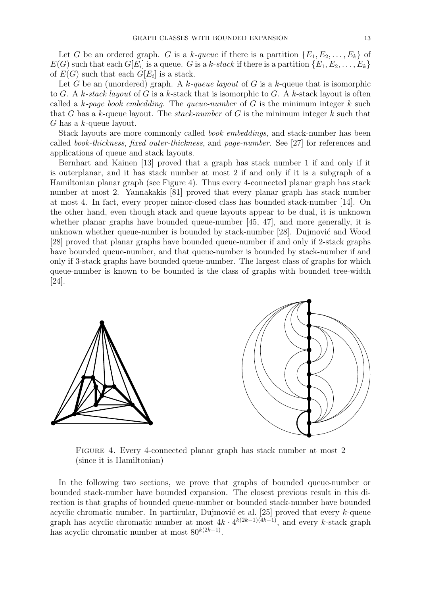Let G be an ordered graph. G is a k-queue if there is a partition  $\{E_1, E_2, \ldots, E_k\}$  of  $E(G)$  such that each  $G[E_i]$  is a queue. G is a k-stack if there is a partition  $\{E_1, E_2, \ldots, E_k\}$ of  $E(G)$  such that each  $G[E_i]$  is a stack.

Let G be an (unordered) graph. A k-queue layout of G is a k-queue that is isomorphic to G. A k-stack layout of G is a k-stack that is isomorphic to G. A k-stack layout is often called a k-page book embedding. The queue-number of  $G$  is the minimum integer  $k$  such that G has a k-queue layout. The stack-number of G is the minimum integer  $k$  such that G has a k-queue layout.

Stack layouts are more commonly called book embeddings, and stack-number has been called book-thickness, fixed outer-thickness, and page-number. See [27] for references and applications of queue and stack layouts.

Bernhart and Kainen [13] proved that a graph has stack number 1 if and only if it is outerplanar, and it has stack number at most 2 if and only if it is a subgraph of a Hamiltonian planar graph (see Figure 4). Thus every 4-connected planar graph has stack number at most 2. Yannakakis [81] proved that every planar graph has stack number at most 4. In fact, every proper minor-closed class has bounded stack-number [14]. On the other hand, even though stack and queue layouts appear to be dual, it is unknown whether planar graphs have bounded queue-number [45, 47], and more generally, it is unknown whether queue-number is bounded by stack-number [28]. Dujmović and Wood [28] proved that planar graphs have bounded queue-number if and only if 2-stack graphs have bounded queue-number, and that queue-number is bounded by stack-number if and only if 3-stack graphs have bounded queue-number. The largest class of graphs for which queue-number is known to be bounded is the class of graphs with bounded tree-width [24].



FIGURE 4. Every 4-connected planar graph has stack number at most 2 (since it is Hamiltonian)

In the following two sections, we prove that graphs of bounded queue-number or bounded stack-number have bounded expansion. The closest previous result in this direction is that graphs of bounded queue-number or bounded stack-number have bounded acyclic chromatic number. In particular, Dujmović et al.  $[25]$  proved that every k-queue graph has acyclic chromatic number at most  $4k \cdot 4^{k(2k-1)(4k-1)}$ , and every k-stack graph has acyclic chromatic number at most  $80^{k(2k-1)}$ .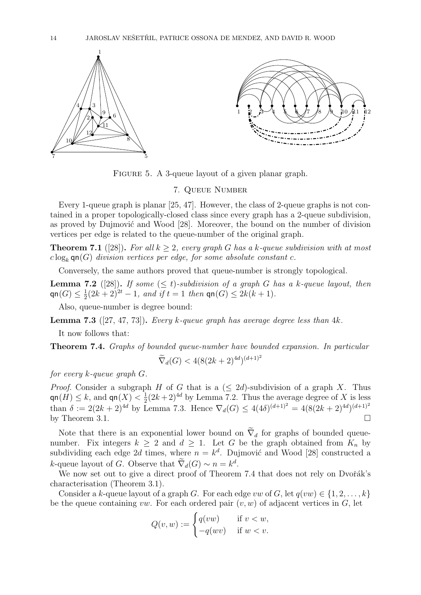

FIGURE 5. A 3-queue layout of a given planar graph.

7. Queue Number

Every 1-queue graph is planar [25, 47]. However, the class of 2-queue graphs is not contained in a proper topologically-closed class since every graph has a 2-queue subdivision, as proved by Dujmović and Wood [28]. Moreover, the bound on the number of division vertices per edge is related to the queue-number of the original graph.

**Theorem 7.1** ([28]). For all  $k > 2$ , every graph G has a k-queue subdivision with at most  $c \log_k \mathsf{qn}(G)$  division vertices per edge, for some absolute constant c.

Conversely, the same authors proved that queue-number is strongly topological.

**Lemma 7.2** ([28]). If some  $(\leq t)$ -subdivision of a graph G has a k-queue layout, then  $\mathsf{qn}(G) \leq \frac{1}{2}$  $\frac{1}{2}(2k+2)^{2t}-1$ , and if  $t=1$  then  $\mathsf{qn}(G) \leq 2k(k+1)$ .

Also, queue-number is degree bound:

**Lemma 7.3** ([27, 47, 73]). Every k-queue graph has average degree less than  $4k$ .

It now follows that:

Theorem 7.4. Graphs of bounded queue-number have bounded expansion. In particular

$$
\widetilde{\nabla}_d(G) < 4(8(2k+2)^{4d})^{(d+1)^2}
$$

for every k-queue graph G.

*Proof.* Consider a subgraph H of G that is a  $(\leq 2d)$ -subdivision of a graph X. Thus  $\mathsf{qn}(H) \leq k$ , and  $\mathsf{qn}(X) < \frac{1}{2}$  $\frac{1}{2}(2k+2)^{4d}$  by Lemma 7.2. Thus the average degree of X is less than  $\delta := 2(2k+2)^{4d}$  by Lemma 7.3. Hence  $\nabla_d(G) \leq 4(4\delta)^{(d+1)^2} = 4(8(2k+2)^{4d})^{(d+1)^2}$ by Theorem 3.1.  $\Box$ 

Note that there is an exponential lower bound on  $\tilde{\nabla}_d$  for graphs of bounded queuenumber. Fix integers  $k \geq 2$  and  $d \geq 1$ . Let G be the graph obtained from  $K_n$  by subdividing each edge 2d times, where  $n = k^d$ . Dujmović and Wood [28] constructed a k-queue layout of G. Observe that  $\nabla_d(G) \sim n = k^d$ .

We now set out to give a direct proof of Theorem 7.4 that does not rely on Dvořák's characterisation (Theorem 3.1).

Consider a k-queue layout of a graph G. For each edge vw of G, let  $q(vw) \in \{1, 2, ..., k\}$ be the queue containing vw. For each ordered pair  $(v, w)$  of adjacent vertices in G, let

$$
Q(v, w) := \begin{cases} q(vw) & \text{if } v < w, \\ -q(wv) & \text{if } w < v. \end{cases}
$$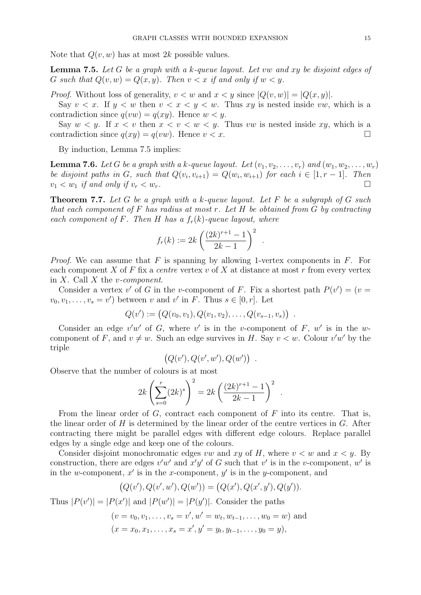Note that  $Q(v, w)$  has at most 2k possible values.

**Lemma 7.5.** Let G be a graph with a  $k$ -queue layout. Let vw and xy be disjoint edges of G such that  $Q(v, w) = Q(x, y)$ . Then  $v < x$  if and only if  $w < y$ .

*Proof.* Without loss of generality,  $v < w$  and  $x < y$  since  $|Q(v, w)| = |Q(x, y)|$ .

Say  $v < x$ . If  $y < w$  then  $v < x < y < w$ . Thus xy is nested inside vw, which is a contradiction since  $q(vw) = q(xy)$ . Hence  $w < y$ .

Say  $w < y$ . If  $x < v$  then  $x < v < w < y$ . Thus vw is nested inside xy, which is a contradiction since  $q(xy) = q(vw)$ . Hence  $v < x$ .

By induction, Lemma 7.5 implies:

**Lemma 7.6.** Let G be a graph with a k-queue layout. Let  $(v_1, v_2, \ldots, v_r)$  and  $(w_1, w_2, \ldots, w_r)$ be disjoint paths in G, such that  $Q(v_i, v_{i+1}) = Q(w_i, w_{i+1})$  for each  $i \in [1, r-1]$ . Then  $v_1 < w_1$  if and only if  $v_r < w_r$ .

**Theorem 7.7.** Let G be a graph with a k-queue layout. Let F be a subgraph of G such that each component of  $F$  has radius at most  $r$ . Let  $H$  be obtained from  $G$  by contracting each component of F. Then H has a  $f_r(k)$ -queue layout, where

$$
f_r(k) := 2k \left( \frac{(2k)^{r+1} - 1}{2k - 1} \right)^2
$$

.

.

*Proof.* We can assume that  $F$  is spanning by allowing 1-vertex components in  $F$ . For each component X of F fix a centre vertex  $v$  of X at distance at most  $r$  from every vertex in X. Call X the v-component.

Consider a vertex v' of G in the v-component of F. Fix a shortest path  $P(v') = (v =$  $v_0, v_1, \ldots, v_s = v'$  between v and v' in F. Thus  $s \in [0, r]$ . Let

$$
Q(v') := (Q(v_0, v_1), Q(v_1, v_2), \ldots, Q(v_{s-1}, v_s)) .
$$

Consider an edge  $v'w'$  of G, where v' is in the v-component of F, w' is in the wcomponent of F, and  $v \neq w$ . Such an edge survives in H. Say  $v < w$ . Colour  $v'w'$  by the triple

$$
(Q(v'), Q(v', w'), Q(w')) .
$$

Observe that the number of colours is at most

$$
2k\left(\sum_{s=0}^{r}(2k)^{s}\right)^{2} = 2k\left(\frac{(2k)^{r+1}-1}{2k-1}\right)^{2}
$$

From the linear order of  $G$ , contract each component of  $F$  into its centre. That is, the linear order of  $H$  is determined by the linear order of the centre vertices in  $G$ . After contracting there might be parallel edges with different edge colours. Replace parallel edges by a single edge and keep one of the colours.

Consider disjoint monochromatic edges vw and  $xy$  of H, where  $v < w$  and  $x < y$ . By construction, there are edges  $v'w'$  and  $x'y'$  of G such that  $v'$  is in the v-component,  $w'$  is in the w-component,  $x'$  is in the x-component,  $y'$  is in the y-component, and

$$
(Q(v'), Q(v', w'), Q(w')) = (Q(x'), Q(x', y'), Q(y')).
$$

Thus  $|P(v')| = |P(x')|$  and  $|P(w')| = |P(y')|$ . Consider the paths

$$
(v = v_0, v_1, \dots, v_s = v', w' = w_t, w_{t-1}, \dots, w_0 = w)
$$
 and  
 $(x = x_0, x_1, \dots, x_s = x', y' = y_t, y_{t-1}, \dots, y_0 = y),$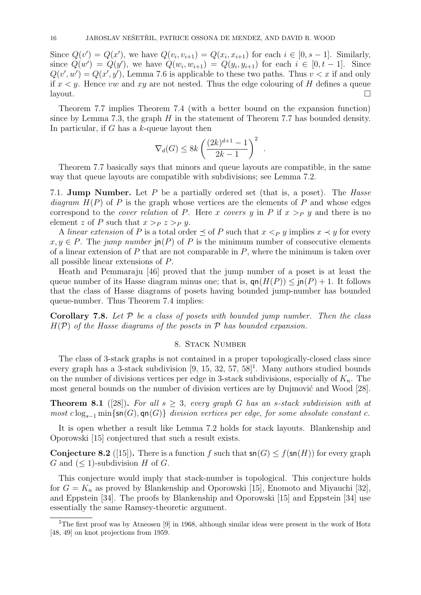Since  $Q(v') = Q(x')$ , we have  $Q(v_i, v_{i+1}) = Q(x_i, x_{i+1})$  for each  $i \in [0, s-1]$ . Similarly, since  $Q(w') = Q(y')$ , we have  $Q(w_i, w_{i+1}) = Q(y_i, y_{i+1})$  for each  $i \in [0, t-1]$ . Since  $Q(v', w') = Q(x', y')$ , Lemma 7.6 is applicable to these two paths. Thus  $v < x$  if and only if  $x \leq y$ . Hence vw and xy are not nested. Thus the edge colouring of H defines a queue layout. □

Theorem 7.7 implies Theorem 7.4 (with a better bound on the expansion function) since by Lemma 7.3, the graph  $H$  in the statement of Theorem 7.7 has bounded density. In particular, if  $G$  has a  $k$ -queue layout then

$$
\nabla_d(G) \le 8k \left(\frac{(2k)^{d+1} - 1}{2k - 1}\right)^2.
$$

Theorem 7.7 basically says that minors and queue layouts are compatible, in the same way that queue layouts are compatible with subdivisions; see Lemma 7.2.

7.1. **Jump Number.** Let  $P$  be a partially ordered set (that is, a poset). The *Hasse* diagram  $H(P)$  of P is the graph whose vertices are the elements of P and whose edges correspond to the *cover relation* of P. Here x *covers* y in P if  $x >_P y$  and there is no element z of P such that  $x > P z > P y$ .

A linear extension of P is a total order  $\prec$  of P such that  $x <_P y$  implies  $x \prec y$  for every  $x, y \in P$ . The jump number jn(P) of P is the minimum number of consecutive elements of a linear extension of  $P$  that are not comparable in  $P$ , where the minimum is taken over all possible linear extensions of P.

Heath and Pemmaraju [46] proved that the jump number of a poset is at least the queue number of its Hasse diagram minus one; that is,  $\mathsf{qn}(H(P)) \leq \mathsf{jn}(P) + 1$ . It follows that the class of Hasse diagrams of posets having bounded jump-number has bounded queue-number. Thus Theorem 7.4 implies:

**Corollary 7.8.** Let  $P$  be a class of posets with bounded jump number. Then the class  $H(\mathcal{P})$  of the Hasse diagrams of the posets in  $\mathcal P$  has bounded expansion.

### 8. Stack Number

The class of 3-stack graphs is not contained in a proper topologically-closed class since every graph has a 3-stack subdivision  $[9, 15, 32, 57, 58]$ <sup>1</sup>. Many authors studied bounds on the number of divisions vertices per edge in 3-stack subdivisions, especially of  $K_n$ . The most general bounds on the number of division vertices are by Dujmović and Wood [28].

**Theorem 8.1** ([28]). For all  $s \geq 3$ , every graph G has an s-stack subdivision with at most  $c \log_{s-1} \min\{sn(G),\text{qn}(G)\}\$  division vertices per edge, for some absolute constant c.

It is open whether a result like Lemma 7.2 holds for stack layouts. Blankenship and Oporowski [15] conjectured that such a result exists.

**Conjecture 8.2** ([15]). There is a function f such that  $\mathsf{sn}(G) \leq f(\mathsf{sn}(H))$  for every graph G and  $(< 1$ )-subdivision H of G.

This conjecture would imply that stack-number is topological. This conjecture holds for  $G = K_n$  as proved by Blankenship and Oporowski [15], Enomoto and Miyauchi [32], and Eppstein [34]. The proofs by Blankenship and Oporowski [15] and Eppstein [34] use essentially the same Ramsey-theoretic argument.

<sup>&</sup>lt;sup>1</sup>The first proof was by Atneosen [9] in 1968, although similar ideas were present in the work of Hotz [48, 49] on knot projections from 1959.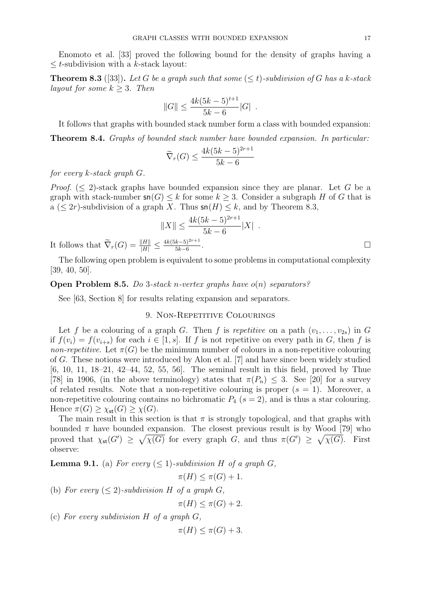Enomoto et al. [33] proved the following bound for the density of graphs having a  $\leq t$ -subdivision with a k-stack layout:

**Theorem 8.3** ([33]). Let G be a graph such that some  $(< t)$ -subdivision of G has a k-stack layout for some  $k \geq 3$ . Then

$$
||G|| \leq \frac{4k(5k-5)^{t+1}}{5k-6}|G|.
$$

It follows that graphs with bounded stack number form a class with bounded expansion: Theorem 8.4. Graphs of bounded stack number have bounded expansion. In particular:

$$
\widetilde{\nabla}_r(G) \le \frac{4k(5k-5)^{2r+1}}{5k-6}
$$

for every  $k$ -stack graph  $G$ .

*Proof.* ( $\leq$  2)-stack graphs have bounded expansion since they are planar. Let G be a graph with stack-number  $\mathsf{sn}(G) \leq k$  for some  $k \geq 3$ . Consider a subgraph H of G that is a ( $\leq 2r$ )-subdivision of a graph X. Thus  $\mathsf{sn}(H) \leq k$ , and by Theorem 8.3,

$$
||X|| \le \frac{4k(5k-5)^{2r+1}}{5k-6}|X|.
$$
  

$$
\frac{H||}{H||} \le \frac{4k(5k-5)^{2r+1}}{5k-6}.
$$

It follows that  $\widetilde{\nabla}_r(G) = \frac{\|H\|}{|H|} \le \frac{4k(5k-5)^{2r+1}}{5k-6}$  $5k-6$ 

The following open problem is equivalent to some problems in computational complexity [39, 40, 50].

### **Open Problem 8.5.** Do 3-stack n-vertex graphs have  $o(n)$  separators?

See [63, Section 8] for results relating expansion and separators.

# 9. Non-Repetitive Colourings

Let f be a colouring of a graph G. Then f is repetitive on a path  $(v_1, \ldots, v_{2s})$  in G if  $f(v_i) = f(v_{i+s})$  for each  $i \in [1, s]$ . If f is not repetitive on every path in G, then f is non-repetitive. Let  $\pi(G)$  be the minimum number of colours in a non-repetitive colouring of G. These notions were introduced by Alon et al. [7] and have since been widely studied [6, 10, 11, 18–21, 42–44, 52, 55, 56]. The seminal result in this field, proved by Thue [78] in 1906, (in the above terminology) states that  $\pi(P_n) \leq 3$ . See [20] for a survey of related results. Note that a non-repetitive colouring is proper  $(s = 1)$ . Moreover, a non-repetitive colouring contains no bichromatic  $P_4$  ( $s = 2$ ), and is thus a star colouring. Hence  $\pi(G) \geq \chi_{st}(G) \geq \chi(G)$ .

The main result in this section is that  $\pi$  is strongly topological, and that graphs with bounded  $\pi$  have bounded expansion. The closest previous result is by Wood [79] who proved that  $\chi_{st}(G') \geq \sqrt{\chi(G)}$  for every graph G, and thus  $\pi(G') \geq \sqrt{\chi(G)}$ . First observe:

**Lemma 9.1.** (a) For every  $(\leq 1)$ -subdivision H of a graph G,

 $\pi(H) \leq \pi(G) + 1.$ 

(b) For every  $(\leq 2)$ -subdivision H of a graph G,

$$
\pi(H) \le \pi(G) + 2.
$$

(c) For every subdivision  $H$  of a graph  $G$ ,

$$
\pi(H) \le \pi(G) + 3.
$$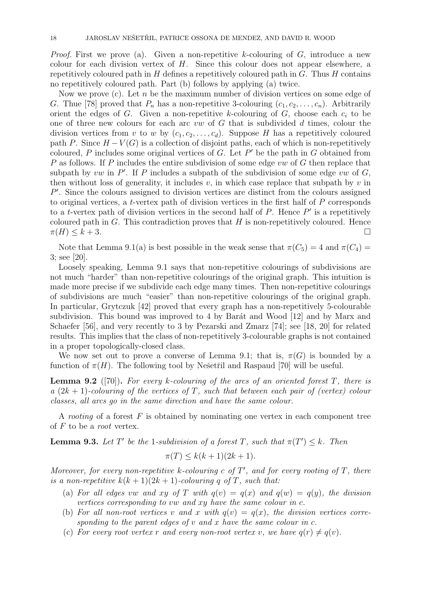*Proof.* First we prove (a). Given a non-repetitive k-colouring of  $G$ , introduce a new colour for each division vertex of H. Since this colour does not appear elsewhere, a repetitively coloured path in  $H$  defines a repetitively coloured path in  $G$ . Thus  $H$  contains no repetitively coloured path. Part (b) follows by applying (a) twice.

Now we prove  $(c)$ . Let *n* be the maximum number of division vertices on some edge of G. Thue [78] proved that  $P_n$  has a non-repetitive 3-colouring  $(c_1, c_2, \ldots, c_n)$ . Arbitrarily orient the edges of G. Given a non-repetitive k-colouring of G, choose each  $c_i$  to be one of three new colours for each arc vw of  $G$  that is subdivided  $d$  times, colour the division vertices from v to w by  $(c_1, c_2, \ldots, c_d)$ . Suppose H has a repetitively coloured path P. Since  $H - V(G)$  is a collection of disjoint paths, each of which is non-repetitively coloured,  $P$  includes some original vertices of  $G$ . Let  $P'$  be the path in  $G$  obtained from P as follows. If P includes the entire subdivision of some edge vw of G then replace that subpath by vw in  $P'$ . If P includes a subpath of the subdivision of some edge vw of  $G$ , then without loss of generality, it includes  $v$ , in which case replace that subpath by  $v$  in  $P'$ . Since the colours assigned to division vertices are distinct from the colours assigned to original vertices, a t-vertex path of division vertices in the first half of  $P$  corresponds to a *t*-vertex path of division vertices in the second half of  $P$ . Hence  $P'$  is a repetitively coloured path in  $G$ . This contradiction proves that  $H$  is non-repetitively coloured. Hence  $\pi(H) \leq k+3.$ 

Note that Lemma 9.1(a) is best possible in the weak sense that  $\pi(C_5) = 4$  and  $\pi(C_4) =$ 3; see [20].

Loosely speaking, Lemma 9.1 says that non-repetitive colourings of subdivisions are not much "harder" than non-repetitive colourings of the original graph. This intuition is made more precise if we subdivide each edge many times. Then non-repetitive colourings of subdivisions are much "easier" than non-repetitive colourings of the original graph. In particular, Grytczuk [42] proved that every graph has a non-repetitively 5-colourable subdivision. This bound was improved to 4 by Barát and Wood [12] and by Marx and Schaefer [56], and very recently to 3 by Pezarski and Zmarz [74]; see [18, 20] for related results. This implies that the class of non-repetitively 3-colourable graphs is not contained in a proper topologically-closed class.

We now set out to prove a converse of Lemma 9.1; that is,  $\pi(G)$  is bounded by a function of  $\pi(H)$ . The following tool by Nešetřil and Raspaud [70] will be useful.

**Lemma 9.2** ([70]). For every k-colouring of the arcs of an oriented forest  $T$ , there is a  $(2k+1)$ -colouring of the vertices of T, such that between each pair of (vertex) colour classes, all arcs go in the same direction and have the same colour.

A rooting of a forest  $F$  is obtained by nominating one vertex in each component tree of  $F$  to be a *root* vertex.

**Lemma 9.3.** Let T' be the 1-subdivision of a forest T, such that  $\pi(T') \leq k$ . Then

$$
\pi(T) \le k(k+1)(2k+1).
$$

Moreover, for every non-repetitive k-colouring c of  $T'$ , and for every rooting of  $T$ , there is a non-repetitive  $k(k + 1)(2k + 1)$ -colouring q of T, such that:

- (a) For all edges vw and xy of T with  $q(v) = q(x)$  and  $q(w) = q(y)$ , the division vertices corresponding to vw and xy have the same colour in c.
- (b) For all non-root vertices v and x with  $q(v) = q(x)$ , the division vertices corresponding to the parent edges of  $v$  and  $x$  have the same colour in  $c$ .
- (c) For every root vertex r and every non-root vertex v, we have  $q(r) \neq q(v)$ .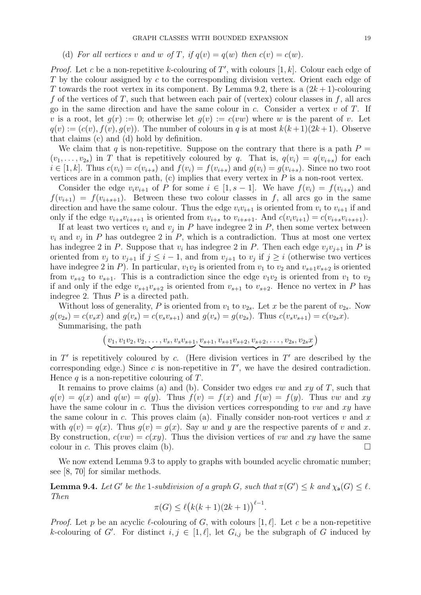(d) For all vertices v and w of T, if  $q(v) = q(w)$  then  $c(v) = c(w)$ .

*Proof.* Let c be a non-repetitive k-colouring of  $T'$ , with colours [1, k]. Colour each edge of T by the colour assigned by c to the corresponding division vertex. Orient each edge of T towards the root vertex in its component. By Lemma 9.2, there is a  $(2k+1)$ -colouring f of the vertices of T, such that between each pair of (vertex) colour classes in f, all arcs go in the same direction and have the same colour in  $c$ . Consider a vertex  $v$  of  $T$ . If v is a root, let  $g(r) := 0$ ; otherwise let  $g(v) := c(vw)$  where w is the parent of v. Let  $q(v) := (c(v), f(v), q(v))$ . The number of colours in q is at most  $k(k+1)(2k+1)$ . Observe that claims (c) and (d) hold by definition.

We claim that q is non-repetitive. Suppose on the contrary that there is a path  $P =$  $(v_1, \ldots, v_{2s})$  in T that is repetitively coloured by q. That is,  $q(v_i) = q(v_{i+s})$  for each  $i \in [1, k]$ . Thus  $c(v_i) = c(v_{i+s})$  and  $f(v_i) = f(v_{i+s})$  and  $g(v_i) = g(v_{i+s})$ . Since no two root vertices are in a common path,  $(c)$  implies that every vertex in  $P$  is a non-root vertex.

Consider the edge  $v_i v_{i+1}$  of P for some  $i \in [1, s-1]$ . We have  $f(v_i) = f(v_{i+s})$  and  $f(v_{i+1}) = f(v_{i+s+1})$ . Between these two colour classes in f, all arcs go in the same direction and have the same colour. Thus the edge  $v_i v_{i+1}$  is oriented from  $v_i$  to  $v_{i+1}$  if and only if the edge  $v_{i+s}v_{i+s+1}$  is oriented from  $v_{i+s}$  to  $v_{i+s+1}$ . And  $c(v_iv_{i+1}) = c(v_{i+s}v_{i+s+1})$ .

If at least two vertices  $v_i$  and  $v_j$  in P have indegree 2 in P, then some vertex between  $v_i$  and  $v_j$  in P has outdegree 2 in P, which is a contradiction. Thus at most one vertex has indegree 2 in P. Suppose that  $v_i$  has indegree 2 in P. Then each edge  $v_i v_{i+1}$  in P is oriented from  $v_j$  to  $v_{j+1}$  if  $j \leq i-1$ , and from  $v_{j+1}$  to  $v_j$  if  $j \geq i$  (otherwise two vertices have indegree 2 in P). In particular,  $v_1v_2$  is oriented from  $v_1$  to  $v_2$  and  $v_{s+1}v_{s+2}$  is oriented from  $v_{s+2}$  to  $v_{s+1}$ . This is a contradiction since the edge  $v_1v_2$  is oriented from  $v_1$  to  $v_2$ if and only if the edge  $v_{s+1}v_{s+2}$  is oriented from  $v_{s+1}$  to  $v_{s+2}$ . Hence no vertex in P has indegree 2. Thus  $P$  is a directed path.

Without loss of generality, P is oriented from  $v_1$  to  $v_{2s}$ . Let x be the parent of  $v_{2s}$ . Now  $g(v_{2s}) = c(v_s x)$  and  $g(v_s) = c(v_s v_{s+1})$  and  $g(v_s) = g(v_{2s})$ . Thus  $c(v_s v_{s+1}) = c(v_{2s} x)$ .

Summarising, the path

$$
(v_1, v_1v_2, v_2, \ldots, v_s, v_sv_{s+1}, v_{s+1}, v_{s+1}v_{s+2}, v_{s+2}, \ldots, v_{2s}, v_{2s}x)
$$

| {z } | {z } in  $T'$  is repetitively coloured by c. (Here division vertices in  $T'$  are described by the corresponding edge.) Since  $c$  is non-repetitive in  $T'$ , we have the desired contradiction. Hence q is a non-repetitive colouring of  $T$ .

It remains to prove claims (a) and (b). Consider two edges  $vw$  and  $xy$  of T, such that  $q(v) = q(x)$  and  $q(w) = q(y)$ . Thus  $f(v) = f(x)$  and  $f(w) = f(y)$ . Thus vw and xy have the same colour in c. Thus the division vertices corresponding to vw and xy have the same colour in c. This proves claim (a). Finally consider non-root vertices v and x with  $q(v) = q(x)$ . Thus  $q(v) = q(x)$ . Say w and y are the respective parents of v and x. By construction,  $c(vw) = c(xy)$ . Thus the division vertices of vw and xy have the same colour in c. This proves claim (b).  $\square$ 

We now extend Lemma 9.3 to apply to graphs with bounded acyclic chromatic number; see [8, 70] for similar methods.

**Lemma 9.4.** Let G' be the 1-subdivision of a graph G, such that  $\pi(G') \leq k$  and  $\chi_a(G) \leq \ell$ . Then

$$
\pi(G) \le \ell (k(k+1)(2k+1))^{\ell-1}.
$$

*Proof.* Let p be an acyclic  $\ell$ -colouring of G, with colours [1,  $\ell$ ]. Let c be a non-repetitive k-colouring of G'. For distinct  $i, j \in [1, \ell],$  let  $G_{i,j}$  be the subgraph of G induced by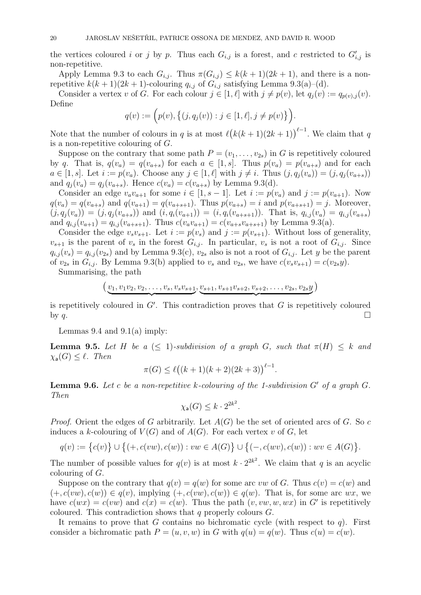the vertices coloured i or j by p. Thus each  $G_{i,j}$  is a forest, and c restricted to  $G'_{i,j}$  is non-repetitive.

Apply Lemma 9.3 to each  $G_{i,j}$ . Thus  $\pi(G_{i,j}) \leq k(k+1)(2k+1)$ , and there is a nonrepetitive  $k(k+1)(2k+1)$ -colouring  $q_{i,j}$  of  $G_{i,j}$  satisfying Lemma 9.3(a)–(d).

Consider a vertex v of G. For each colour  $j \in [1, \ell]$  with  $j \neq p(v)$ , let  $q_i (v) := q_{p(v),j} (v)$ . Define

$$
q(v) := (p(v), \{(j, q_j(v)) : j \in [1, \ell], j \neq p(v)\}).
$$

Note that the number of colours in q is at most  $\ell(k(k + 1)(2k + 1))^{l-1}$ . We claim that q is a non-repetitive colouring of G.

Suppose on the contrary that some path  $P = (v_1, \ldots, v_{2s})$  in G is repetitively coloured by q. That is,  $q(v_a) = q(v_{a+s})$  for each  $a \in [1, s]$ . Thus  $p(v_a) = p(v_{a+s})$  and for each  $a \in [1, s]$ . Let  $i := p(v_a)$ . Choose any  $j \in [1, \ell]$  with  $j \neq i$ . Thus  $(j, q_i (v_a)) = (j, q_i (v_{a+s}))$ and  $q_i(v_a) = q_i(v_{a+s})$ . Hence  $c(v_a) = c(v_{a+s})$  by Lemma 9.3(d).

Consider an edge  $v_a v_{a+1}$  for some  $i \in [1, s-1]$ . Let  $i := p(v_a)$  and  $j := p(v_{a+1})$ . Now  $q(v_a) = q(v_{a+s})$  and  $q(v_{a+1}) = q(v_{a+s+1})$ . Thus  $p(v_{a+s}) = i$  and  $p(v_{a+s+1}) = j$ . Moreover,  $(j, q_i(v_a)) = (j, q_i(v_{a+s}))$  and  $(i, q_i(v_{a+1})) = (i, q_i(v_{a+s+1}))$ . That is,  $q_{i,j}(v_a) = q_{i,j}(v_{a+s})$ and  $q_{i,j}(v_{a+1}) = q_{i,j}(v_{a+s+1})$ . Thus  $c(v_a v_{a+1}) = c(v_{a+s}v_{a+s+1})$  by Lemma 9.3(a).

Consider the edge  $v_sv_{s+1}$ . Let  $i := p(v_s)$  and  $j := p(v_{s+1})$ . Without loss of generality,  $v_{s+1}$  is the parent of  $v_s$  in the forest  $G_{i,j}$ . In particular,  $v_s$  is not a root of  $G_{i,j}$ . Since  $q_{i,j}(v_s) = q_{i,j}(v_{2s})$  and by Lemma 9.3(c),  $v_{2s}$  also is not a root of  $G_{i,j}$ . Let y be the parent of  $v_{2s}$  in  $G_{i,j}$ . By Lemma 9.3(b) applied to  $v_s$  and  $v_{2s}$ , we have  $c(v_sv_{s+1}) = c(v_{2s}y)$ .

Summarising, the path

$$
(v_1, v_1v_2, v_2, \ldots, v_s, v_sv_{s+1}, v_{s+1}, v_{s+1}v_{s+2}, v_{s+2}, \ldots, v_{2s}, v_{2s}y)
$$

 $\overline{\phantom{a}}$  $\overline{\phantom{a}}$ is repetitively coloured in  $G'$ . This contradiction proves that  $G$  is repetitively coloured by  $q$ .

Lemmas  $9.4$  and  $9.1(a)$  imply:

**Lemma 9.5.** Let H be a  $(\leq 1)$ -subdivision of a graph G, such that  $\pi(H) \leq k$  and  $\chi_{\mathsf{a}}(G) \leq \ell$ . Then

$$
\pi(G) \le \ell ((k+1)(k+2)(2k+3))^{l-1}.
$$

**Lemma 9.6.** Let c be a non-repetitive k-colouring of the 1-subdivision  $G'$  of a graph  $G$ . Then

$$
\chi_{\mathsf{a}}(G) \leq k \cdot 2^{2k^2}.
$$

*Proof.* Orient the edges of G arbitrarily. Let  $A(G)$  be the set of oriented arcs of G. So c induces a k-colouring of  $V(G)$  and of  $A(G)$ . For each vertex v of G, let

$$
q(v) := \{c(v)\} \cup \{(+, c(vw), c(w)) : vw \in A(G)\} \cup \{(-, c(wv), c(w)) : wv \in A(G)\}.
$$

The number of possible values for  $q(v)$  is at most  $k \cdot 2^{2k^2}$ . We claim that q is an acyclic colouring of G.

Suppose on the contrary that  $q(v) = q(w)$  for some arc vw of G. Thus  $c(v) = c(w)$  and  $(+, c(vw), c(w)) \in q(v)$ , implying  $(+, c(vw), c(w)) \in q(w)$ . That is, for some arc wx, we have  $c(wx) = c(vw)$  and  $c(x) = c(w)$ . Thus the path  $(v, vw, w, wx)$  in G' is repetitively coloured. This contradiction shows that  $q$  properly colours  $G$ .

It remains to prove that G contains no bichromatic cycle (with respect to  $q$ ). First consider a bichromatic path  $P = (u, v, w)$  in G with  $q(u) = q(w)$ . Thus  $c(u) = c(w)$ .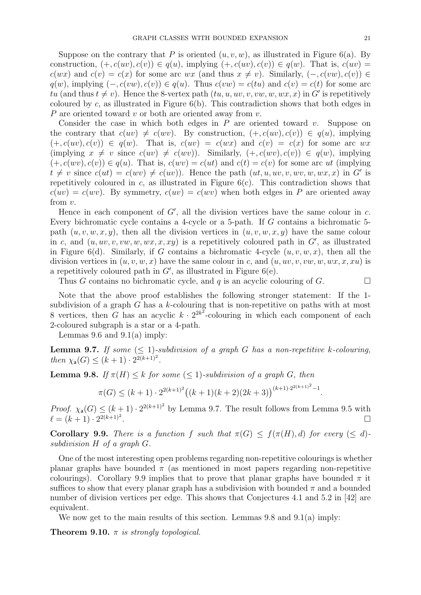Suppose on the contrary that P is oriented  $(u, v, w)$ , as illustrated in Figure 6(a). By construction,  $(+, c(uv), c(v)) \in q(u)$ , implying  $(+, c(uv), c(v)) \in q(w)$ . That is,  $c(uv)$  $c(wx)$  and  $c(v) = c(x)$  for some arc wx (and thus  $x \neq v$ ). Similarly,  $(-, c(vw), c(v)) \in$  $q(w)$ , implying  $(-, c(vw), c(v)) \in q(u)$ . Thus  $c(vw) = c(tu)$  and  $c(v) = c(t)$  for some arc tu (and thus  $t \neq v$ ). Hence the 8-vertex path  $(tu, u, uv, v, vw, w, wx, x)$  in G' is repetitively coloured by  $c$ , as illustrated in Figure  $6(b)$ . This contradiction shows that both edges in P are oriented toward  $v$  or both are oriented away from  $v$ .

Consider the case in which both edges in  $P$  are oriented toward v. Suppose on the contrary that  $c(uv) \neq c(wv)$ . By construction,  $(+, c(uv), c(v)) \in q(u)$ , implying  $(+, c(uv), c(v)) \in q(w)$ . That is,  $c(uv) = c(wx)$  and  $c(v) = c(x)$  for some arc wx (implying  $x \neq v$  since  $c(uv) \neq c(wv)$ ). Similarly,  $(+, c(wv), c(v)) \in q(w)$ , implying  $(+, c(wv), c(v)) \in q(u)$ . That is,  $c(wv) = c(ut)$  and  $c(t) = c(v)$  for some arc ut (implying  $t \neq v$  since  $c(ut) = c(wv) \neq c(uv)$ . Hence the path  $(ut, u, uv, v, wv, w, wx, x)$  in G' is repetitively coloured in  $c$ , as illustrated in Figure  $6(c)$ . This contradiction shows that  $c(uv) = c(wv)$ . By symmetry,  $c(uv) = c(wv)$  when both edges in P are oriented away from v.

Hence in each component of  $G'$ , all the division vertices have the same colour in  $c$ . Every bichromatic cycle contains a 4-cycle or a 5-path. If G contains a bichromatic 5 path  $(u, v, w, x, y)$ , then all the division vertices in  $(u, v, w, x, y)$  have the same colour in c, and  $(u, uv, v, vw, wx, x, xy)$  is a repetitively coloured path in G', as illustrated in Figure 6(d). Similarly, if G contains a bichromatic 4-cycle  $(u, v, w, x)$ , then all the division vertices in  $(u, v, w, x)$  have the same colour in c, and  $(u, uv, v, vw, w, wx, x, xu)$  is a repetitively coloured path in  $G'$ , as illustrated in Figure  $6(e)$ .

Thus G contains no bichromatic cycle, and q is an acyclic colouring of G.  $\Box$ 

Note that the above proof establishes the following stronger statement: If the 1 subdivision of a graph  $G$  has a k-colouring that is non-repetitive on paths with at most 8 vertices, then G has an acyclic  $k \cdot 2^{2k^2}$ -colouring in which each component of each 2-coloured subgraph is a star or a 4-path.

Lemmas  $9.6$  and  $9.1(a)$  imply:

**Lemma 9.7.** If some  $(\leq 1)$ -subdivision of a graph G has a non-repetitive k-colouring, then  $\chi_{a}(G) \leq (k+1) \cdot 2^{2(k+1)^2}$ .

**Lemma 9.8.** If  $\pi(H) \leq k$  for some  $(\leq 1)$ -subdivision of a graph G, then

$$
\pi(G) \le (k+1) \cdot 2^{2(k+1)^2} \left( (k+1)(k+2)(2k+3) \right)^{(k+1)\cdot 2^{2(k+1)^2}-1}
$$

.

*Proof.*  $\chi_a(G) \leq (k+1) \cdot 2^{2(k+1)^2}$  by Lemma 9.7. The result follows from Lemma 9.5 with  $\ell = (k+1) \cdot 2^{2(k+1)^2}$ . The contract of the contract of the contract of  $\Box$ 

Corollary 9.9. There is a function f such that  $\pi(G) \leq f(\pi(H), d)$  for every  $(< d)$ subdivision H of a graph G.

One of the most interesting open problems regarding non-repetitive colourings is whether planar graphs have bounded  $\pi$  (as mentioned in most papers regarding non-repetitive colourings). Corollary 9.9 implies that to prove that planar graphs have bounded  $\pi$  it suffices to show that every planar graph has a subdivision with bounded  $\pi$  and a bounded number of division vertices per edge. This shows that Conjectures 4.1 and 5.2 in [42] are equivalent.

We now get to the main results of this section. Lemmas 9.8 and  $9.1(a)$  imply:

**Theorem 9.10.**  $\pi$  is strongly topological.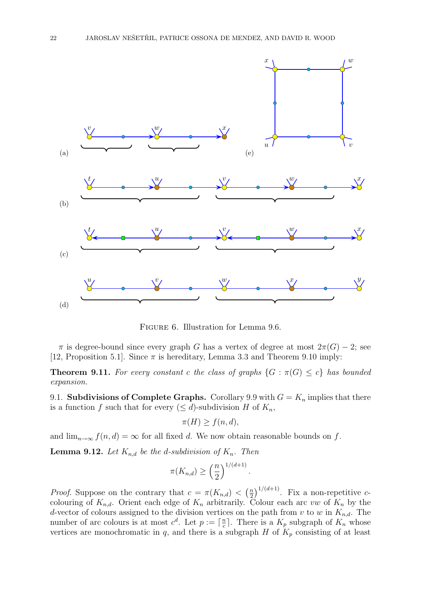

Figure 6. Illustration for Lemma 9.6.

 $\pi$  is degree-bound since every graph G has a vertex of degree at most  $2\pi(G) - 2$ ; see [12, Proposition 5.1]. Since  $\pi$  is hereditary, Lemma 3.3 and Theorem 9.10 imply:

**Theorem 9.11.** For every constant c the class of graphs  $\{G : \pi(G) \leq c\}$  has bounded expansion.

9.1. Subdivisions of Complete Graphs. Corollary 9.9 with  $G = K_n$  implies that there is a function f such that for every  $(\leq d)$ -subdivision H of  $K_n$ ,

$$
\pi(H) \ge f(n, d),
$$

and  $\lim_{n\to\infty} f(n,d) = \infty$  for all fixed d. We now obtain reasonable bounds on f.

**Lemma 9.12.** Let  $K_{n,d}$  be the d-subdivision of  $K_n$ . Then

$$
\pi(K_{n,d}) \ge \left(\frac{n}{2}\right)^{1/(d+1)}
$$

.

*Proof.* Suppose on the contrary that  $c = \pi(K_{n,d}) < \left(\frac{n}{2}\right)$  $\frac{n}{2}$ )<sup>1/(d+1)</sup>. Fix a non-repetitive ccolouring of  $K_{n,d}$ . Orient each edge of  $K_n$  arbitrarily. Colour each arc vw of  $K_n$  by the d-vector of colours assigned to the division vertices on the path from v to w in  $K_{n,d}$ . The number of arc colours is at most  $c^d$ . Let  $p := \lceil \frac{n}{c} \rceil$  $\frac{n}{c}$ . There is a  $K_p$  subgraph of  $K_n$  whose vertices are monochromatic in  $q$ , and there is a subgraph H of  $K_p$  consisting of at least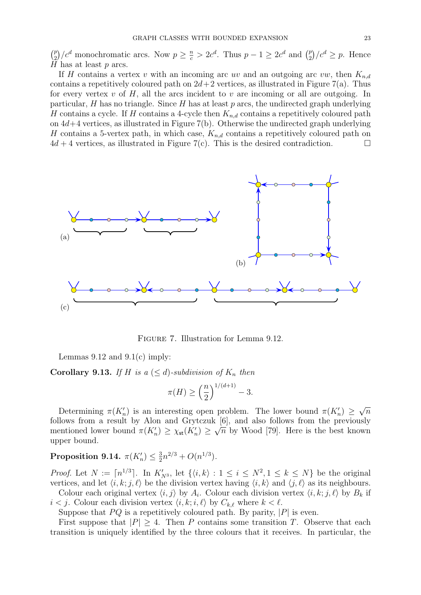$\binom{p}{p}$  $\frac{p}{2}/c^d$  monochromatic arcs. Now  $p \geq \frac{n}{c} > 2c^d$ . Thus  $p - 1 \geq 2c^d$  and  $\binom{p}{2}$  $\binom{p}{2}/c^d \geq p$ . Hence  $H$  has at least  $p$  arcs.

If H contains a vertex v with an incoming arc uv and an outgoing arc vw, then  $K_{n,d}$ contains a repetitively coloured path on  $2d+2$  vertices, as illustrated in Figure 7(a). Thus for every vertex v of  $H$ , all the arcs incident to v are incoming or all are outgoing. In particular,  $H$  has no triangle. Since  $H$  has at least  $p$  arcs, the undirected graph underlying H contains a cycle. If H contains a 4-cycle then  $K_{n,d}$  contains a repetitively coloured path on  $4d+4$  vertices, as illustrated in Figure 7(b). Otherwise the undirected graph underlying H contains a 5-vertex path, in which case,  $K_{n,d}$  contains a repetitively coloured path on  $4d + 4$  vertices, as illustrated in Figure 7(c). This is the desired contradiction.



Figure 7. Illustration for Lemma 9.12.

Lemmas  $9.12$  and  $9.1(c)$  imply:

**Corollary 9.13.** If H is a  $(\leq d)$ -subdivision of  $K_n$  then

$$
\pi(H) \ge \left(\frac{n}{2}\right)^{1/(d+1)} - 3.
$$

Determining  $\pi(K'_n)$  is an interesting open problem. The lower bound  $\pi(K'_n) \geq \sqrt{n}$ follows from a result by Alon and Grytczuk [6], and also follows from the previously mentioned lower bound  $\pi(K'_n) \ge \chi_{st}(K'_n) \ge \sqrt{n}$  by Wood [79]. Here is the best known upper bound.

Proposition 9.14.  $\pi(K'_n) \leq \frac{3}{2}$  $\frac{3}{2}n^{2/3} + O(n^{1/3}).$ 

*Proof.* Let  $N := \lceil n^{1/3} \rceil$ . In  $K'_{N^3}$ , let  $\{\langle i, k \rangle : 1 \le i \le N^2, 1 \le k \le N\}$  be the original vertices, and let  $\langle i, k; j, \ell \rangle$  be the division vertex having  $\langle i, k \rangle$  and  $\langle j, \ell \rangle$  as its neighbours.

Colour each original vertex  $\langle i, j \rangle$  by  $A_i$ . Colour each division vertex  $\langle i, k; j, \ell \rangle$  by  $B_k$  if  $i < j$ . Colour each division vertex  $\langle i, k; i, \ell \rangle$  by  $C_{k,\ell}$  where  $k < \ell$ .

Suppose that  $PQ$  is a repetitively coloured path. By parity,  $|P|$  is even.

First suppose that  $|P| > 4$ . Then P contains some transition T. Observe that each transition is uniquely identified by the three colours that it receives. In particular, the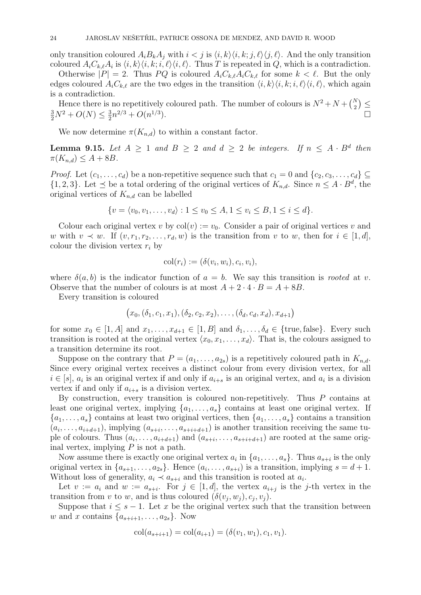only transition coloured  $A_i B_k A_j$  with  $i < j$  is  $\langle i, k \rangle \langle i, k; j, \ell \rangle \langle j, \ell \rangle$ . And the only transition coloured  $A_i C_{k,\ell} A_i$  is  $\langle i, k \rangle \langle i, k; i, \ell \rangle \langle i, \ell \rangle$ . Thus T is repeated in Q, which is a contradiction.

Otherwise  $|P| = 2$ . Thus PQ is coloured  $A_i C_{k,\ell} A_i C_{k,\ell}$  for some  $k < \ell$ . But the only edges coloured  $A_iC_{k,\ell}$  are the two edges in the transition  $\langle i, k \rangle \langle i, k; i, \ell \rangle \langle i, \ell \rangle$ , which again is a contradiction.

Hence there is no repetitively coloured path. The number of colours is  $N^2 + N + {N \choose 2} \le$  $\frac{3}{2}N^2 + O(N) \leq \frac{3}{2}$  $\frac{3}{2}n^{2/3} + O(n^{1/3})$ ).

We now determine  $\pi(K_{n,d})$  to within a constant factor.

**Lemma 9.15.** Let  $A \geq 1$  and  $B \geq 2$  and  $d \geq 2$  be integers. If  $n \leq A \cdot B^d$  then  $\pi(K_{n,d}) \leq A + 8B$ .

*Proof.* Let  $(c_1, \ldots, c_d)$  be a non-repetitive sequence such that  $c_1 = 0$  and  $\{c_2, c_3, \ldots, c_d\} \subseteq$  $\{1, 2, 3\}$ . Let  $\preceq$  be a total ordering of the original vertices of  $K_{n,d}$ . Since  $n \leq A \cdot B^d$ , the original vertices of  $K_{n,d}$  can be labelled

$$
\{v = \langle v_0, v_1, \dots, v_d \rangle : 1 \le v_0 \le A, 1 \le v_i \le B, 1 \le i \le d\}.
$$

Colour each original vertex v by  $col(v) := v_0$ . Consider a pair of original vertices v and w with  $v \prec w$ . If  $(v, r_1, r_2, \ldots, r_d, w)$  is the transition from v to w, then for  $i \in [1, d]$ , colour the division vertex  $r_i$  by

$$
col(r_i) := (\delta(v_i, w_i), c_i, v_i),
$$

where  $\delta(a, b)$  is the indicator function of  $a = b$ . We say this transition is rooted at v. Observe that the number of colours is at most  $A + 2 \cdot 4 \cdot B = A + 8B$ .

Every transition is coloured

$$
(x_0, (\delta_1, c_1, x_1), (\delta_2, c_2, x_2), \ldots, (\delta_d, c_d, x_d), x_{d+1})
$$

for some  $x_0 \in [1, A]$  and  $x_1, \ldots, x_{d+1} \in [1, B]$  and  $\delta_1, \ldots, \delta_d \in \{\text{true}, \text{false}\}.$  Every such transition is rooted at the original vertex  $\langle x_0, x_1, \ldots, x_d \rangle$ . That is, the colours assigned to a transition determine its root.

Suppose on the contrary that  $P = (a_1, \ldots, a_{2s})$  is a repetitively coloured path in  $K_{n,d}$ . Since every original vertex receives a distinct colour from every division vertex, for all  $i \in [s], a_i$  is an original vertex if and only if  $a_{i+s}$  is an original vertex, and  $a_i$  is a division vertex if and only if  $a_{i+s}$  is a division vertex.

By construction, every transition is coloured non-repetitively. Thus  $P$  contains at least one original vertex, implying  $\{a_1, \ldots, a_s\}$  contains at least one original vertex. If  ${a_1, \ldots, a_s}$  contains at least two original vertices, then  ${a_1, \ldots, a_s}$  contains a transition  $(a_i, \ldots, a_{i+d+1})$ , implying  $(a_{s+i}, \ldots, a_{s+i+d+1})$  is another transition receiving the same tuple of colours. Thus  $(a_i, \ldots, a_{i+d+1})$  and  $(a_{s+i}, \ldots, a_{s+i+d+1})$  are rooted at the same original vertex, implying  $P$  is not a path.

Now assume there is exactly one original vertex  $a_i$  in  $\{a_1, \ldots, a_s\}$ . Thus  $a_{s+i}$  is the only original vertex in  $\{a_{s+1}, \ldots, a_{2s}\}$ . Hence  $(a_i, \ldots, a_{s+i})$  is a transition, implying  $s = d+1$ . Without loss of generality,  $a_i \prec a_{s+i}$  and this transition is rooted at  $a_i$ .

Let  $v := a_i$  and  $w := a_{s+i}$ . For  $j \in [1, d]$ , the vertex  $a_{i+j}$  is the j-th vertex in the transition from v to w, and is thus coloured  $(\delta(v_j, w_j), c_j, v_j)$ .

Suppose that  $i \leq s - 1$ . Let x be the original vertex such that the transition between w and x contains  $\{a_{s+i+1}, \ldots, a_{2s}\}.$  Now

$$
col(a_{s+i+1}) = col(a_{i+1}) = (\delta(v_1, w_1), c_1, v_1).
$$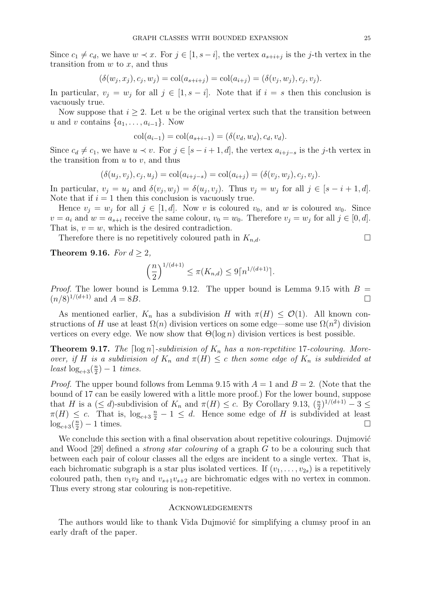Since  $c_1 \neq c_d$ , we have  $w \prec x$ . For  $j \in [1, s - i]$ , the vertex  $a_{s+i+j}$  is the j-th vertex in the transition from  $w$  to  $x$ , and thus

$$
(\delta(w_j, x_j), c_j, w_j) = \text{col}(a_{s+i+j}) = \text{col}(a_{i+j}) = (\delta(v_j, w_j), c_j, v_j).
$$

In particular,  $v_j = w_j$  for all  $j \in [1, s - i]$ . Note that if  $i = s$  then this conclusion is vacuously true.

Now suppose that  $i \geq 2$ . Let u be the original vertex such that the transition between u and v contains  $\{a_1, \ldots, a_{i-1}\}.$  Now

$$
col(a_{i-1}) = col(a_{s+i-1}) = (\delta(v_d, w_d), c_d, v_d).
$$

Since  $c_d \neq c_1$ , we have  $u \prec v$ . For  $j \in [s - i + 1, d]$ , the vertex  $a_{i+j-s}$  is the j-th vertex in the transition from  $u$  to  $v$ , and thus

$$
(\delta(u_j, v_j), c_j, u_j) = \text{col}(a_{i+j-s}) = \text{col}(a_{i+j}) = (\delta(v_j, w_j), c_j, v_j).
$$

In particular,  $v_j = u_j$  and  $\delta(v_j, w_j) = \delta(u_j, v_j)$ . Thus  $v_j = w_j$  for all  $j \in [s - i + 1, d]$ . Note that if  $i = 1$  then this conclusion is vacuously true.

Hence  $v_j = w_j$  for all  $j \in [1, d]$ . Now v is coloured  $v_0$ , and w is coloured  $w_0$ . Since  $v = a_i$  and  $w = a_{s+i}$  receive the same colour,  $v_0 = w_0$ . Therefore  $v_j = w_j$  for all  $j \in [0, d]$ . That is,  $v = w$ , which is the desired contradiction.

Therefore there is no repetitively coloured path in  $K_{n,d}$ .

### Theorem 9.16. For  $d \geq 2$ ,

$$
\left(\frac{n}{2}\right)^{1/(d+1)} \le \pi(K_{n,d}) \le 9\lceil n^{1/(d+1)}\rceil.
$$

*Proof.* The lower bound is Lemma 9.12. The upper bound is Lemma 9.15 with  $B =$  $(n/8)^{1/(d+1)}$  and  $A = 8B$ .

As mentioned earlier,  $K_n$  has a subdivision H with  $\pi(H) \leq \mathcal{O}(1)$ . All known constructions of H use at least  $\Omega(n)$  division vertices on some edge—some use  $\Omega(n^2)$  division vertices on every edge. We now show that  $\Theta(\log n)$  division vertices is best possible.

**Theorem 9.17.** The  $\lceil \log n \rceil$ -subdivision of  $K_n$  has a non-repetitive 17-colouring. Moreover, if H is a subdivision of  $K_n$  and  $\pi(H) \leq c$  then some edge of  $K_n$  is subdivided at least  $\log_{c+3}(\frac{n}{2})$  $\frac{n}{2}$ ) – 1 times.

*Proof.* The upper bound follows from Lemma 9.15 with  $A = 1$  and  $B = 2$ . (Note that the bound of 17 can be easily lowered with a little more proof.) For the lower bound, suppose that H is a  $(\leq d)$ -subdivision of  $K_n$  and  $\pi(H) \leq c$ . By Corollary 9.13,  $(\frac{n}{2})^{1/(d+1)} - 3 \leq$  $\pi(H) \leq c$ . That is,  $\log_{c+3} \frac{n}{2} - 1 \leq d$ . Hence some edge of H is subdivided at least  $\log_{c+3}(\frac{n}{2})$  $\frac{n}{2}$ ) – 1 times.

We conclude this section with a final observation about repetitive colourings. Dujmović and Wood [29] defined a strong star colouring of a graph G to be a colouring such that between each pair of colour classes all the edges are incident to a single vertex. That is, each bichromatic subgraph is a star plus isolated vertices. If  $(v_1, \ldots, v_{2s})$  is a repetitively coloured path, then  $v_1v_2$  and  $v_{s+1}v_{s+2}$  are bichromatic edges with no vertex in common. Thus every strong star colouring is non-repetitive.

### **ACKNOWLEDGEMENTS**

The authors would like to thank Vida Dujmović for simplifying a clumsy proof in an early draft of the paper.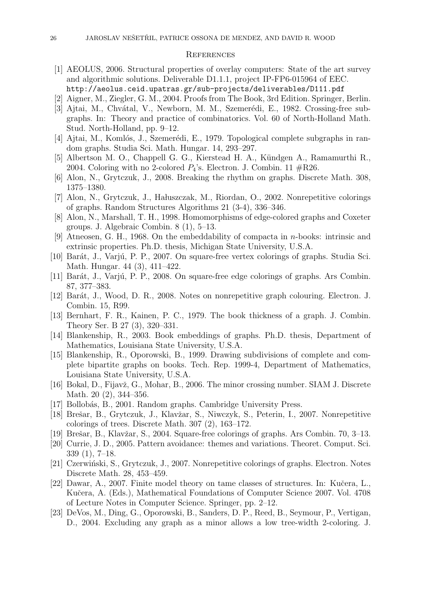#### **REFERENCES**

- [1] AEOLUS, 2006. Structural properties of overlay computers: State of the art survey and algorithmic solutions. Deliverable D1.1.1, project IP-FP6-015964 of EEC. http://aeolus.ceid.upatras.gr/sub-projects/deliverables/D111.pdf
- [2] Aigner, M., Ziegler, G. M., 2004. Proofs from The Book, 3rd Edition. Springer, Berlin.
- [3] Ajtai, M., Chvátal, V., Newborn, M. M., Szemerédi, E., 1982. Crossing-free subgraphs. In: Theory and practice of combinatorics. Vol. 60 of North-Holland Math. Stud. North-Holland, pp. 9–12.
- [4] Ajtai, M., Komlós, J., Szemerédi, E., 1979. Topological complete subgraphs in random graphs. Studia Sci. Math. Hungar. 14, 293–297.
- [5] Albertson M. O., Chappell G. G., Kierstead H. A., Kündgen A., Ramamurthi R., 2004. Coloring with no 2-colored  $P_4$ 's. Electron. J. Combin. 11  $\#R26$ .
- [6] Alon, N., Grytczuk, J., 2008. Breaking the rhythm on graphs. Discrete Math. 308, 1375–1380.
- [7] Alon, N., Grytczuk, J., Hałuszczak, M., Riordan, O., 2002. Nonrepetitive colorings of graphs. Random Structures Algorithms 21 (3-4), 336–346.
- [8] Alon, N., Marshall, T. H., 1998. Homomorphisms of edge-colored graphs and Coxeter groups. J. Algebraic Combin. 8 (1), 5–13.
- [9] Atneosen, G. H., 1968. On the embeddability of compacta in n-books: intrinsic and extrinsic properties. Ph.D. thesis, Michigan State University, U.S.A.
- [10] Barát, J., Varjú, P. P., 2007. On square-free vertex colorings of graphs. Studia Sci. Math. Hungar. 44 (3), 411–422.
- [11] Barát, J., Varjú, P. P., 2008. On square-free edge colorings of graphs. Ars Combin. 87, 377–383.
- [12] Barát, J., Wood, D. R., 2008. Notes on nonrepetitive graph colouring. Electron. J. Combin. 15, R99.
- [13] Bernhart, F. R., Kainen, P. C., 1979. The book thickness of a graph. J. Combin. Theory Ser. B 27 (3), 320–331.
- [14] Blankenship, R., 2003. Book embeddings of graphs. Ph.D. thesis, Department of Mathematics, Louisiana State University, U.S.A.
- [15] Blankenship, R., Oporowski, B., 1999. Drawing subdivisions of complete and complete bipartite graphs on books. Tech. Rep. 1999-4, Department of Mathematics, Louisiana State University, U.S.A.
- [16] Bokal, D., Fijavž, G., Mohar, B., 2006. The minor crossing number. SIAM J. Discrete Math. 20 (2), 344–356.
- [17] Bollobás, B., 2001. Random graphs. Cambridge University Press.
- [18] Brešar, B., Grytczuk, J., Klavžar, S., Niwczyk, S., Peterin, I., 2007. Nonrepetitive colorings of trees. Discrete Math. 307 (2), 163–172.
- [19] Brešar, B., Klavžar, S., 2004. Square-free colorings of graphs. Ars Combin. 70,  $3-13$ .
- [20] Currie, J. D., 2005. Pattern avoidance: themes and variations. Theoret. Comput. Sci. 339 (1), 7–18.
- [21] Czerwiński, S., Grytczuk, J., 2007. Nonrepetitive colorings of graphs. Electron. Notes Discrete Math. 28, 453–459.
- [22] Dawar, A., 2007. Finite model theory on tame classes of structures. In: Kučera, L., Kučera, A. (Eds.), Mathematical Foundations of Computer Science 2007. Vol. 4708 of Lecture Notes in Computer Science. Springer, pp. 2–12.
- [23] DeVos, M., Ding, G., Oporowski, B., Sanders, D. P., Reed, B., Seymour, P., Vertigan, D., 2004. Excluding any graph as a minor allows a low tree-width 2-coloring. J.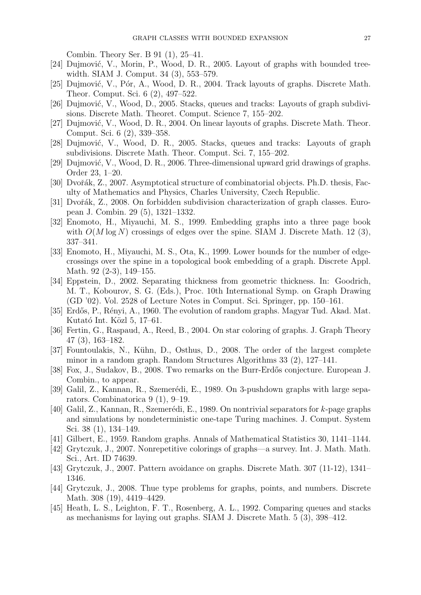Combin. Theory Ser. B 91 (1), 25–41.

- [24] Dujmović, V., Morin, P., Wood, D. R., 2005. Layout of graphs with bounded treewidth. SIAM J. Comput. 34 (3), 553–579.
- [25] Dujmović, V., Pór, A., Wood, D. R., 2004. Track layouts of graphs. Discrete Math. Theor. Comput. Sci. 6 (2), 497–522.
- [26] Dujmović, V., Wood, D., 2005. Stacks, queues and tracks: Layouts of graph subdivisions. Discrete Math. Theoret. Comput. Science 7, 155–202.
- [27] Dujmović, V., Wood, D. R., 2004. On linear layouts of graphs. Discrete Math. Theor. Comput. Sci. 6 (2), 339–358.
- [28] Dujmović, V., Wood, D. R., 2005. Stacks, queues and tracks: Layouts of graph subdivisions. Discrete Math. Theor. Comput. Sci. 7, 155–202.
- [29] Dujmović, V., Wood, D. R., 2006. Three-dimensional upward grid drawings of graphs. Order 23, 1–20.
- [30] Dvořák, Z., 2007. Asymptotical structure of combinatorial objects. Ph.D. thesis, Faculty of Mathematics and Physics, Charles University, Czech Republic.
- [31] Dvořák, Z., 2008. On forbidden subdivision characterization of graph classes. European J. Combin. 29 (5), 1321–1332.
- [32] Enomoto, H., Miyauchi, M. S., 1999. Embedding graphs into a three page book with  $O(M \log N)$  crossings of edges over the spine. SIAM J. Discrete Math. 12 (3), 337–341.
- [33] Enomoto, H., Miyauchi, M. S., Ota, K., 1999. Lower bounds for the number of edgecrossings over the spine in a topological book embedding of a graph. Discrete Appl. Math. 92 (2-3), 149–155.
- [34] Eppstein, D., 2002. Separating thickness from geometric thickness. In: Goodrich, M. T., Kobourov, S. G. (Eds.), Proc. 10th International Symp. on Graph Drawing (GD '02). Vol. 2528 of Lecture Notes in Comput. Sci. Springer, pp. 150–161.
- [35] Erd˝os, P., R´enyi, A., 1960. The evolution of random graphs. Magyar Tud. Akad. Mat. Kutató Int. Közl 5, 17–61.
- [36] Fertin, G., Raspaud, A., Reed, B., 2004. On star coloring of graphs. J. Graph Theory 47 (3), 163–182.
- [37] Fountoulakis, N., Kühn, D., Osthus, D., 2008. The order of the largest complete minor in a random graph. Random Structures Algorithms 33 (2), 127–141.
- [38] Fox, J., Sudakov, B., 2008. Two remarks on the Burr-Erdős conjecture. European J. Combin., to appear.
- [39] Galil, Z., Kannan, R., Szemerédi, E., 1989. On 3-pushdown graphs with large separators. Combinatorica 9 (1), 9–19.
- [40] Galil, Z., Kannan, R., Szemerédi, E., 1989. On nontrivial separators for  $k$ -page graphs and simulations by nondeterministic one-tape Turing machines. J. Comput. System Sci. 38 (1), 134–149.
- [41] Gilbert, E., 1959. Random graphs. Annals of Mathematical Statistics 30, 1141–1144.
- [42] Grytczuk, J., 2007. Nonrepetitive colorings of graphs—a survey. Int. J. Math. Math. Sci., Art. ID 74639.
- [43] Grytczuk, J., 2007. Pattern avoidance on graphs. Discrete Math. 307 (11-12), 1341– 1346.
- [44] Grytczuk, J., 2008. Thue type problems for graphs, points, and numbers. Discrete Math. 308 (19), 4419–4429.
- [45] Heath, L. S., Leighton, F. T., Rosenberg, A. L., 1992. Comparing queues and stacks as mechanisms for laying out graphs. SIAM J. Discrete Math. 5 (3), 398–412.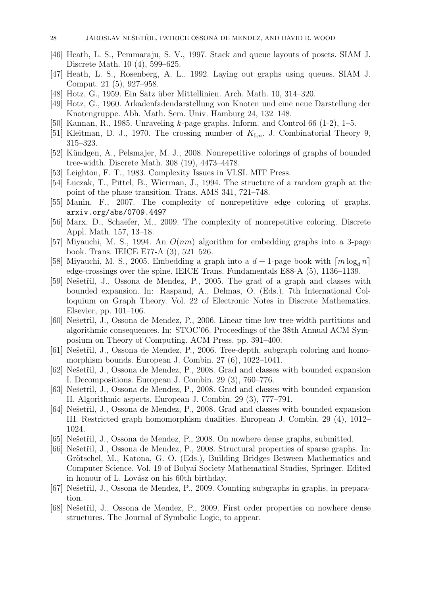- [46] Heath, L. S., Pemmaraju, S. V., 1997. Stack and queue layouts of posets. SIAM J. Discrete Math. 10 (4), 599–625.
- [47] Heath, L. S., Rosenberg, A. L., 1992. Laying out graphs using queues. SIAM J. Comput. 21 (5), 927–958.
- [48] Hotz, G., 1959. Ein Satz über Mittellinien. Arch. Math. 10, 314–320.
- [49] Hotz, G., 1960. Arkadenfadendarstellung von Knoten und eine neue Darstellung der Knotengruppe. Abh. Math. Sem. Univ. Hamburg 24, 132–148.
- [50] Kannan, R., 1985. Unraveling  $k$ -page graphs. Inform. and Control 66 (1-2), 1-5.
- [51] Kleitman, D. J., 1970. The crossing number of  $K_{5,n}$ . J. Combinatorial Theory 9, 315–323.
- [52] Kündgen, A., Pelsmajer, M. J., 2008. Nonrepetitive colorings of graphs of bounded tree-width. Discrete Math. 308 (19), 4473–4478.
- [53] Leighton, F. T., 1983. Complexity Issues in VLSI. MIT Press.
- [54] Luczak, T., Pittel, B., Wierman, J., 1994. The structure of a random graph at the point of the phase transition. Trans. AMS 341, 721–748.
- [55] Manin, F., 2007. The complexity of nonrepetitive edge coloring of graphs. arxiv.org/abs/0709.4497
- [56] Marx, D., Schaefer, M., 2009. The complexity of nonrepetitive coloring. Discrete Appl. Math. 157, 13–18.
- [57] Miyauchi, M. S., 1994. An  $O(nm)$  algorithm for embedding graphs into a 3-page book. Trans. IEICE E77-A (3), 521–526.
- [58] Miyauchi, M. S., 2005. Embedding a graph into a  $d+1$ -page book with  $[m \log_d n]$ edge-crossings over the spine. IEICE Trans. Fundamentals E88-A (5), 1136–1139.
- [59] Nešetřil, J., Ossona de Mendez, P., 2005. The grad of a graph and classes with bounded expansion. In: Raspaud, A., Delmas, O. (Eds.), 7th International Colloquium on Graph Theory. Vol. 22 of Electronic Notes in Discrete Mathematics. Elsevier, pp. 101–106.
- [60] Nešetřil, J., Ossona de Mendez, P., 2006. Linear time low tree-width partitions and algorithmic consequences. In: STOC'06. Proceedings of the 38th Annual ACM Symposium on Theory of Computing. ACM Press, pp. 391–400.
- [61] Nešetřil, J., Ossona de Mendez, P., 2006. Tree-depth, subgraph coloring and homomorphism bounds. European J. Combin. 27 (6), 1022–1041.
- [62] Nešetřil, J., Ossona de Mendez, P., 2008. Grad and classes with bounded expansion I. Decompositions. European J. Combin. 29 (3), 760–776.
- [63] Nešetřil, J., Ossona de Mendez, P., 2008. Grad and classes with bounded expansion II. Algorithmic aspects. European J. Combin. 29 (3), 777–791.
- [64] Nešetřil, J., Ossona de Mendez, P., 2008. Grad and classes with bounded expansion III. Restricted graph homomorphism dualities. European J. Combin. 29 (4), 1012– 1024.
- [65] Nešetřil, J., Ossona de Mendez, P., 2008. On nowhere dense graphs, submitted.
- [66] Nešetřil, J., Ossona de Mendez, P., 2008. Structural properties of sparse graphs. In: Grötschel, M., Katona, G. O. (Eds.), Building Bridges Between Mathematics and Computer Science. Vol. 19 of Bolyai Society Mathematical Studies, Springer. Edited in honour of L. Lovász on his 60th birthday.
- [67] Nešetřil, J., Ossona de Mendez, P., 2009. Counting subgraphs in graphs, in preparation.
- [68] Nešetřil, J., Ossona de Mendez, P., 2009. First order properties on nowhere dense structures. The Journal of Symbolic Logic, to appear.